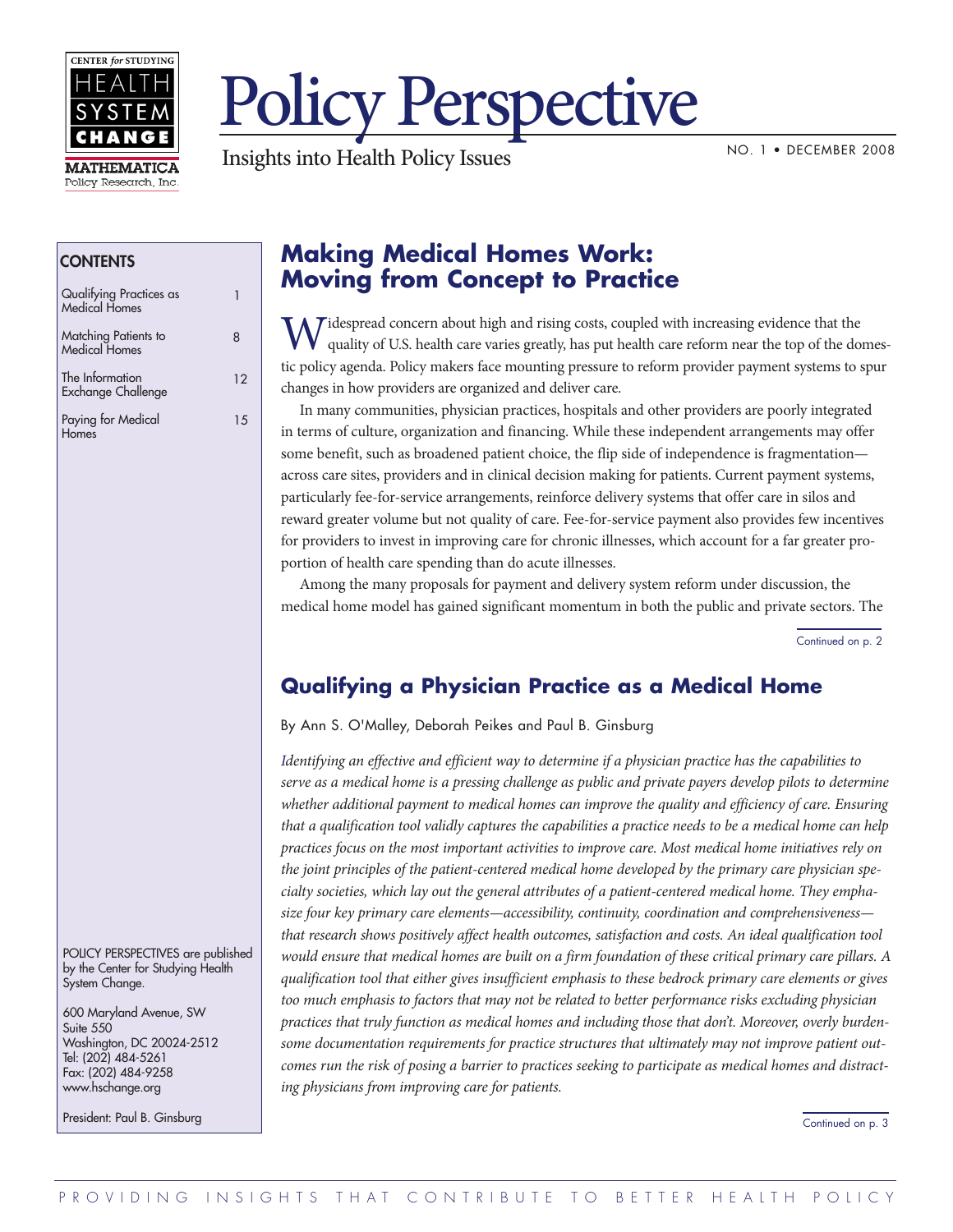

Policy Research, Inc.

# Policy Perspective

Insights into Health Policy Issues NO. 1 • DECEMBER 2008

**CONTENTS** 

| Qualifying Practices as<br>Medical Homes     |     |
|----------------------------------------------|-----|
| Matching Patients to<br>Medical Homes        | 8   |
| The Information<br><b>Exchange Challenge</b> | 12  |
| Paying for Medical<br>Homes                  | 1.5 |

**Making Medical Homes Work: Moving from Concept to Practice**

 $\mathcal T$ idespread concern about high and rising costs, coupled with increasing evidence that the quality of U.S. health care varies greatly, has put health care reform near the top of the domestic policy agenda. Policy makers face mounting pressure to reform provider payment systems to spur changes in how providers are organized and deliver care.

In many communities, physician practices, hospitals and other providers are poorly integrated in terms of culture, organization and financing. While these independent arrangements may offer some benefit, such as broadened patient choice, the flip side of independence is fragmentation across care sites, providers and in clinical decision making for patients. Current payment systems, particularly fee-for-service arrangements, reinforce delivery systems that offer care in silos and reward greater volume but not quality of care. Fee-for-service payment also provides few incentives for providers to invest in improving care for chronic illnesses, which account for a far greater proportion of health care spending than do acute illnesses.

Among the many proposals for payment and delivery system reform under discussion, the medical home model has gained significant momentum in both the public and private sectors. The

Continued on p. 2

## **Qualifying a Physician Practice as a Medical Home**

#### By Ann S. O'Malley, Deborah Peikes and Paul B. Ginsburg

*Identifying an effective and efficient way to determine if a physician practice has the capabilities to serve as a medical home is a pressing challenge as public and private payers develop pilots to determine whether additional payment to medical homes can improve the quality and efficiency of care. Ensuring that a qualification tool validly captures the capabilities a practice needs to be a medical home can help practices focus on the most important activities to improve care. Most medical home initiatives rely on the joint principles of the patient-centered medical home developed by the primary care physician specialty societies, which lay out the general attributes of a patient-centered medical home. They emphasize four key primary care elements—accessibility, continuity, coordination and comprehensiveness that research shows positively affect health outcomes, satisfaction and costs. An ideal qualification tool would ensure that medical homes are built on a firm foundation of these critical primary care pillars. A qualification tool that either gives insufficient emphasis to these bedrock primary care elements or gives too much emphasis to factors that may not be related to better performance risks excluding physician practices that truly function as medical homes and including those that don't. Moreover, overly burdensome documentation requirements for practice structures that ultimately may not improve patient outcomes run the risk of posing a barrier to practices seeking to participate as medical homes and distracting physicians from improving care for patients.*

Continued on p. 3

POLICY PERSPECTIVES are published by the Center for Studying Health System Change.

600 Maryland Avenue, SW Suite 550 Washington, DC 20024-2512 Tel: (202) 484-5261 Fax: (202) 484-9258 www.hschange.org

President: Paul B. Ginsburg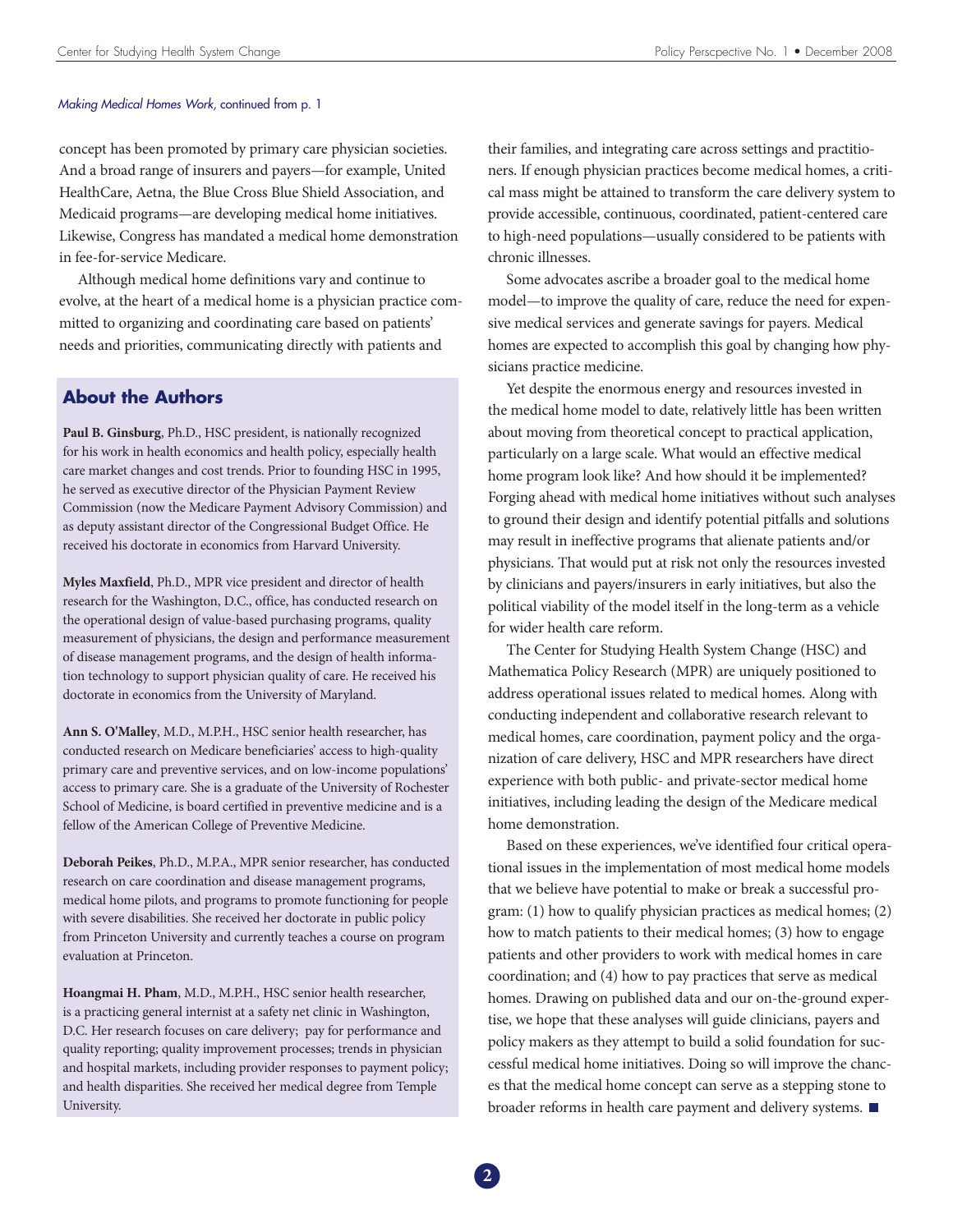#### *Making Medical Homes Work*, continued from p. 1

concept has been promoted by primary care physician societies. And a broad range of insurers and payers—for example, United HealthCare, Aetna, the Blue Cross Blue Shield Association, and Medicaid programs—are developing medical home initiatives. Likewise, Congress has mandated a medical home demonstration in fee-for-service Medicare.

Although medical home definitions vary and continue to evolve, at the heart of a medical home is a physician practice committed to organizing and coordinating care based on patients' needs and priorities, communicating directly with patients and

#### **About the Authors**

**Paul B. Ginsburg**, Ph.D., HSC president, is nationally recognized for his work in health economics and health policy, especially health care market changes and cost trends. Prior to founding HSC in 1995, he served as executive director of the Physician Payment Review Commission (now the Medicare Payment Advisory Commission) and as deputy assistant director of the Congressional Budget Office. He received his doctorate in economics from Harvard University.

**Myles Maxfield**, Ph.D., MPR vice president and director of health research for the Washington, D.C., office, has conducted research on the operational design of value-based purchasing programs, quality measurement of physicians, the design and performance measurement of disease management programs, and the design of health information technology to support physician quality of care. He received his doctorate in economics from the University of Maryland.

**Ann S. O'Malley**, M.D., M.P.H., HSC senior health researcher, has conducted research on Medicare beneficiaries' access to high-quality primary care and preventive services, and on low-income populations' access to primary care. She is a graduate of the University of Rochester School of Medicine, is board certified in preventive medicine and is a fellow of the American College of Preventive Medicine.

**Deborah Peikes**, Ph.D., M.P.A., MPR senior researcher, has conducted research on care coordination and disease management programs, medical home pilots, and programs to promote functioning for people with severe disabilities. She received her doctorate in public policy from Princeton University and currently teaches a course on program evaluation at Princeton.

**Hoangmai H. Pham**, M.D., M.P.H., HSC senior health researcher, is a practicing general internist at a safety net clinic in Washington, D.C. Her research focuses on care delivery; pay for performance and quality reporting; quality improvement processes; trends in physician and hospital markets, including provider responses to payment policy; and health disparities. She received her medical degree from Temple University.

their families, and integrating care across settings and practitioners. If enough physician practices become medical homes, a critical mass might be attained to transform the care delivery system to provide accessible, continuous, coordinated, patient-centered care to high-need populations—usually considered to be patients with chronic illnesses.

Some advocates ascribe a broader goal to the medical home model—to improve the quality of care, reduce the need for expensive medical services and generate savings for payers. Medical homes are expected to accomplish this goal by changing how physicians practice medicine.

Yet despite the enormous energy and resources invested in the medical home model to date, relatively little has been written about moving from theoretical concept to practical application, particularly on a large scale. What would an effective medical home program look like? And how should it be implemented? Forging ahead with medical home initiatives without such analyses to ground their design and identify potential pitfalls and solutions may result in ineffective programs that alienate patients and/or physicians. That would put at risk not only the resources invested by clinicians and payers/insurers in early initiatives, but also the political viability of the model itself in the long-term as a vehicle for wider health care reform.

The Center for Studying Health System Change (HSC) and Mathematica Policy Research (MPR) are uniquely positioned to address operational issues related to medical homes. Along with conducting independent and collaborative research relevant to medical homes, care coordination, payment policy and the organization of care delivery, HSC and MPR researchers have direct experience with both public- and private-sector medical home initiatives, including leading the design of the Medicare medical home demonstration.

Based on these experiences, we've identified four critical operational issues in the implementation of most medical home models that we believe have potential to make or break a successful program: (1) how to qualify physician practices as medical homes; (2) how to match patients to their medical homes; (3) how to engage patients and other providers to work with medical homes in care coordination; and (4) how to pay practices that serve as medical homes. Drawing on published data and our on-the-ground expertise, we hope that these analyses will guide clinicians, payers and policy makers as they attempt to build a solid foundation for successful medical home initiatives. Doing so will improve the chances that the medical home concept can serve as a stepping stone to broader reforms in health care payment and delivery systems.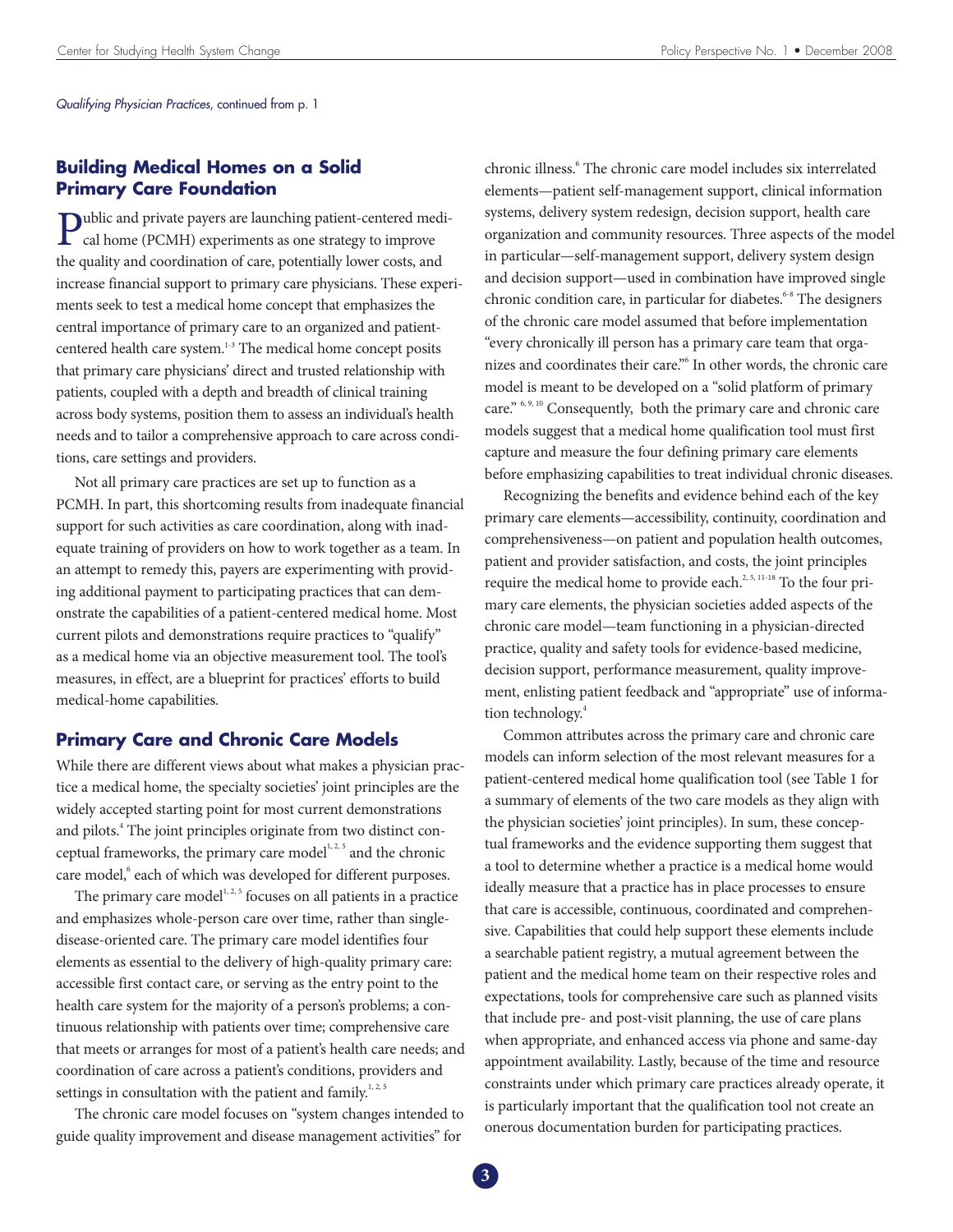*Qualifying Physician Practices*, continued from p. 1

## **Building Medical Homes on a Solid Primary Care Foundation**

Public and private payers are launching patient-centered medi-<br>cal home (PCML) cal home (PCMH) experiments as one strategy to improve the quality and coordination of care, potentially lower costs, and increase financial support to primary care physicians. These experiments seek to test a medical home concept that emphasizes the central importance of primary care to an organized and patientcentered health care system.<sup>1-3</sup> The medical home concept posits that primary care physicians' direct and trusted relationship with patients, coupled with a depth and breadth of clinical training across body systems, position them to assess an individual's health needs and to tailor a comprehensive approach to care across conditions, care settings and providers.

Not all primary care practices are set up to function as a PCMH. In part, this shortcoming results from inadequate financial support for such activities as care coordination, along with inadequate training of providers on how to work together as a team. In an attempt to remedy this, payers are experimenting with providing additional payment to participating practices that can demonstrate the capabilities of a patient-centered medical home. Most current pilots and demonstrations require practices to "qualify" as a medical home via an objective measurement tool. The tool's measures, in effect, are a blueprint for practices' efforts to build medical-home capabilities.

## **Primary Care and Chronic Care Models**

While there are different views about what makes a physician practice a medical home, the specialty societies' joint principles are the widely accepted starting point for most current demonstrations and pilots.<sup>4</sup> The joint principles originate from two distinct conceptual frameworks, the primary care model<sup>1,2,5</sup> and the chronic care model,<sup>6</sup> each of which was developed for different purposes.

The primary care model $1, 2, 5$  focuses on all patients in a practice and emphasizes whole-person care over time, rather than singledisease-oriented care. The primary care model identifies four elements as essential to the delivery of high-quality primary care: accessible first contact care, or serving as the entry point to the health care system for the majority of a person's problems; a continuous relationship with patients over time; comprehensive care that meets or arranges for most of a patient's health care needs; and coordination of care across a patient's conditions, providers and settings in consultation with the patient and family.<sup>1, 2, 5</sup>

The chronic care model focuses on "system changes intended to guide quality improvement and disease management activities" for

chronic illness.<sup>6</sup> The chronic care model includes six interrelated elements—patient self-management support, clinical information systems, delivery system redesign, decision support, health care organization and community resources. Three aspects of the model in particular—self-management support, delivery system design and decision support—used in combination have improved single chronic condition care, in particular for diabetes.<sup>6-8</sup> The designers of the chronic care model assumed that before implementation "every chronically ill person has a primary care team that organizes and coordinates their care."6 In other words, the chronic care model is meant to be developed on a "solid platform of primary care." <sup>6, 9, 10</sup> Consequently, both the primary care and chronic care models suggest that a medical home qualification tool must first capture and measure the four defining primary care elements before emphasizing capabilities to treat individual chronic diseases.

Recognizing the benefits and evidence behind each of the key primary care elements—accessibility, continuity, coordination and comprehensiveness—on patient and population health outcomes, patient and provider satisfaction, and costs, the joint principles require the medical home to provide each.<sup>2, 5, 11-18</sup> To the four primary care elements, the physician societies added aspects of the chronic care model—team functioning in a physician-directed practice, quality and safety tools for evidence-based medicine, decision support, performance measurement, quality improvement, enlisting patient feedback and "appropriate" use of information technology.<sup>4</sup>

Common attributes across the primary care and chronic care models can inform selection of the most relevant measures for a patient-centered medical home qualification tool (see Table 1 for a summary of elements of the two care models as they align with the physician societies' joint principles). In sum, these conceptual frameworks and the evidence supporting them suggest that a tool to determine whether a practice is a medical home would ideally measure that a practice has in place processes to ensure that care is accessible, continuous, coordinated and comprehensive. Capabilities that could help support these elements include a searchable patient registry, a mutual agreement between the patient and the medical home team on their respective roles and expectations, tools for comprehensive care such as planned visits that include pre- and post-visit planning, the use of care plans when appropriate, and enhanced access via phone and same-day appointment availability. Lastly, because of the time and resource constraints under which primary care practices already operate, it is particularly important that the qualification tool not create an onerous documentation burden for participating practices.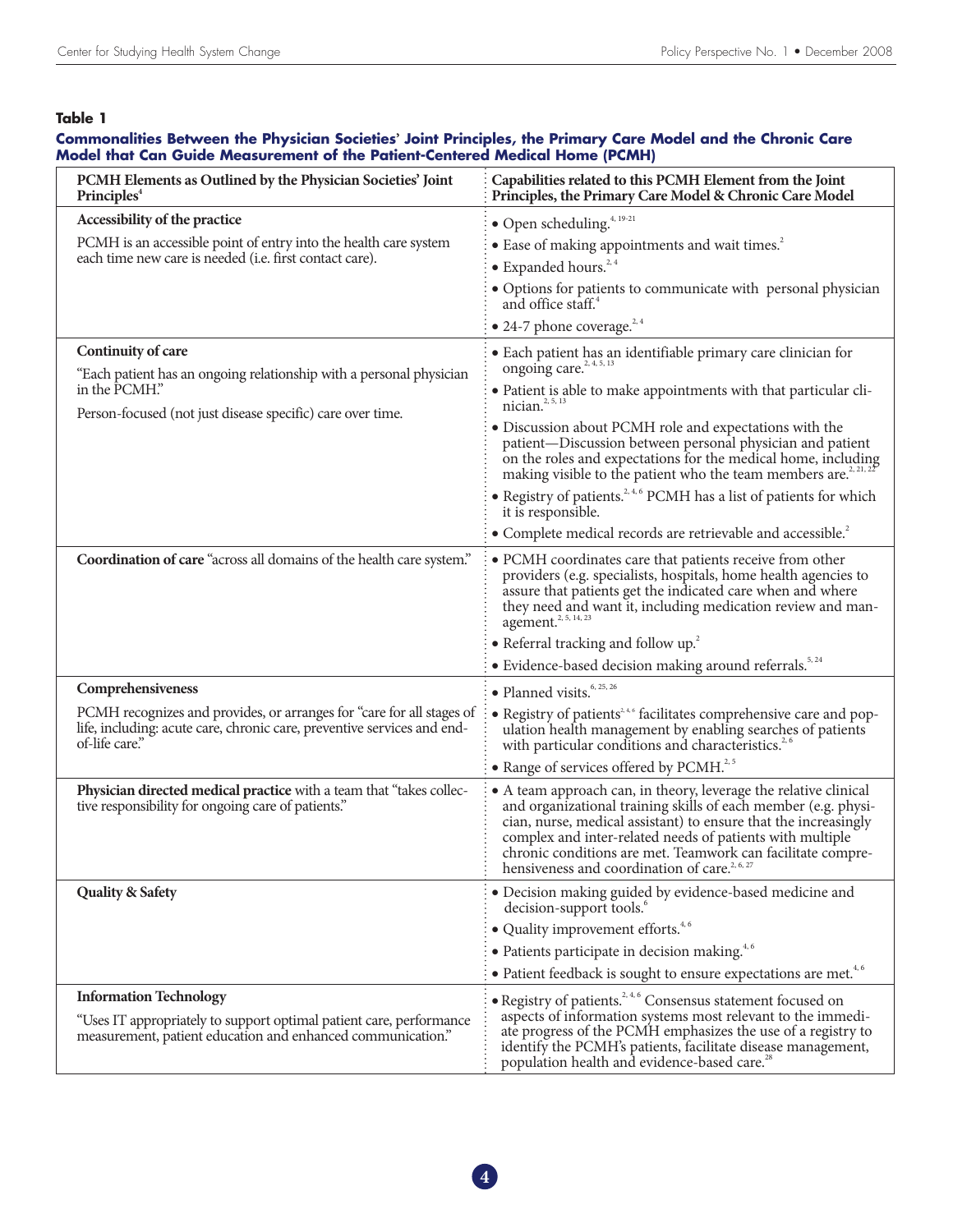#### **Table 1**

#### **Commonalities Between the Physician Societies' Joint Principles, the Primary Care Model and the Chronic Care Model that Can Guide Measurement of the Patient-Centered Medical Home (PCMH)**

| PCMH Elements as Outlined by the Physician Societies' Joint<br>Principles <sup>4</sup>                                                                              | Capabilities related to this PCMH Element from the Joint<br>Principles, the Primary Care Model & Chronic Care Model                                                                                                                                                                                                                                                                               |  |  |
|---------------------------------------------------------------------------------------------------------------------------------------------------------------------|---------------------------------------------------------------------------------------------------------------------------------------------------------------------------------------------------------------------------------------------------------------------------------------------------------------------------------------------------------------------------------------------------|--|--|
| Accessibility of the practice                                                                                                                                       | • Open scheduling. <sup>4, 19-21</sup>                                                                                                                                                                                                                                                                                                                                                            |  |  |
| PCMH is an accessible point of entry into the health care system                                                                                                    | • Ease of making appointments and wait times. <sup>2</sup>                                                                                                                                                                                                                                                                                                                                        |  |  |
| each time new care is needed (i.e. first contact care).                                                                                                             | $\bullet$ Expanded hours. <sup>2,4</sup>                                                                                                                                                                                                                                                                                                                                                          |  |  |
|                                                                                                                                                                     | • Options for patients to communicate with personal physician<br>and office staff. <sup>4</sup>                                                                                                                                                                                                                                                                                                   |  |  |
|                                                                                                                                                                     | • 24-7 phone coverage. $2.4$                                                                                                                                                                                                                                                                                                                                                                      |  |  |
| Continuity of care                                                                                                                                                  | · Each patient has an identifiable primary care clinician for                                                                                                                                                                                                                                                                                                                                     |  |  |
| "Each patient has an ongoing relationship with a personal physician<br>in the PCMH."                                                                                | ongoing care. <sup>2, 4, 5, 13</sup><br>• Patient is able to make appointments with that particular cli-<br>nician. $2, 5, 13$<br>• Discussion about PCMH role and expectations with the<br>patient—Discussion between personal physician and patient<br>on the roles and expectations for the medical home, including making visible to the patient who the team members are. <sup>2,21,22</sup> |  |  |
| Person-focused (not just disease specific) care over time.                                                                                                          |                                                                                                                                                                                                                                                                                                                                                                                                   |  |  |
|                                                                                                                                                                     |                                                                                                                                                                                                                                                                                                                                                                                                   |  |  |
|                                                                                                                                                                     | • Registry of patients. <sup>2,4,6</sup> PCMH has a list of patients for which<br>it is responsible.                                                                                                                                                                                                                                                                                              |  |  |
|                                                                                                                                                                     | • Complete medical records are retrievable and accessible. <sup>2</sup>                                                                                                                                                                                                                                                                                                                           |  |  |
| Coordination of care "across all domains of the health care system."                                                                                                | • PCMH coordinates care that patients receive from other<br>providers (e.g. specialists, hospitals, home health agencies to<br>assure that patients get the indicated care when and where<br>they need and want it, including medication review and man-<br>agement. <sup>2, 5, 14, 23</sup>                                                                                                      |  |  |
|                                                                                                                                                                     | • Referral tracking and follow up. <sup>2</sup>                                                                                                                                                                                                                                                                                                                                                   |  |  |
|                                                                                                                                                                     | • Evidence-based decision making around referrals. <sup>5,24</sup>                                                                                                                                                                                                                                                                                                                                |  |  |
| Comprehensiveness                                                                                                                                                   | $\bullet$ Planned visits. <sup>6, 25, 26</sup>                                                                                                                                                                                                                                                                                                                                                    |  |  |
| PCMH recognizes and provides, or arranges for "care for all stages of<br>life, including: acute care, chronic care, preventive services and end-<br>of-life care."  | • Registry of patients <sup>2,4,6</sup> facilitates comprehensive care and pop-<br>ulation health management by enabling searches of patients<br>with particular conditions and characteristics. <sup>2,6</sup>                                                                                                                                                                                   |  |  |
|                                                                                                                                                                     | • Range of services offered by PCMH. <sup>2,5</sup>                                                                                                                                                                                                                                                                                                                                               |  |  |
| Physician directed medical practice with a team that "takes collec-<br>tive responsibility for ongoing care of patients."                                           | • A team approach can, in theory, leverage the relative clinical<br>and organizational training skills of each member (e.g. physi-<br>cian, nurse, medical assistant) to ensure that the increasingly<br>complex and inter-related needs of patients with multiple<br>chronic conditions are met. Teamwork can facilitate compre-<br>hensiveness and coordination of care. <sup>2, 6, 27</sup>    |  |  |
| <b>Quality &amp; Safety</b>                                                                                                                                         | • Decision making guided by evidence-based medicine and<br>decision-support tools. <sup>6</sup>                                                                                                                                                                                                                                                                                                   |  |  |
|                                                                                                                                                                     | • Quality improvement efforts. $4,6$                                                                                                                                                                                                                                                                                                                                                              |  |  |
|                                                                                                                                                                     | • Patients participate in decision making. <sup>4,6</sup>                                                                                                                                                                                                                                                                                                                                         |  |  |
|                                                                                                                                                                     | • Patient feedback is sought to ensure expectations are met. <sup>4,6</sup>                                                                                                                                                                                                                                                                                                                       |  |  |
| <b>Information Technology</b><br>"Uses IT appropriately to support optimal patient care, performance<br>measurement, patient education and enhanced communication." | • Registry of patients. <sup>2,4,6</sup> Consensus statement focused on<br>aspects of information systems most relevant to the immedi-<br>ate progress of the PCMH emphasizes the use of a registry to<br>identify the PCMH's patients, facilitate disease management,<br>population health and evidence-based care. <sup>28</sup>                                                                |  |  |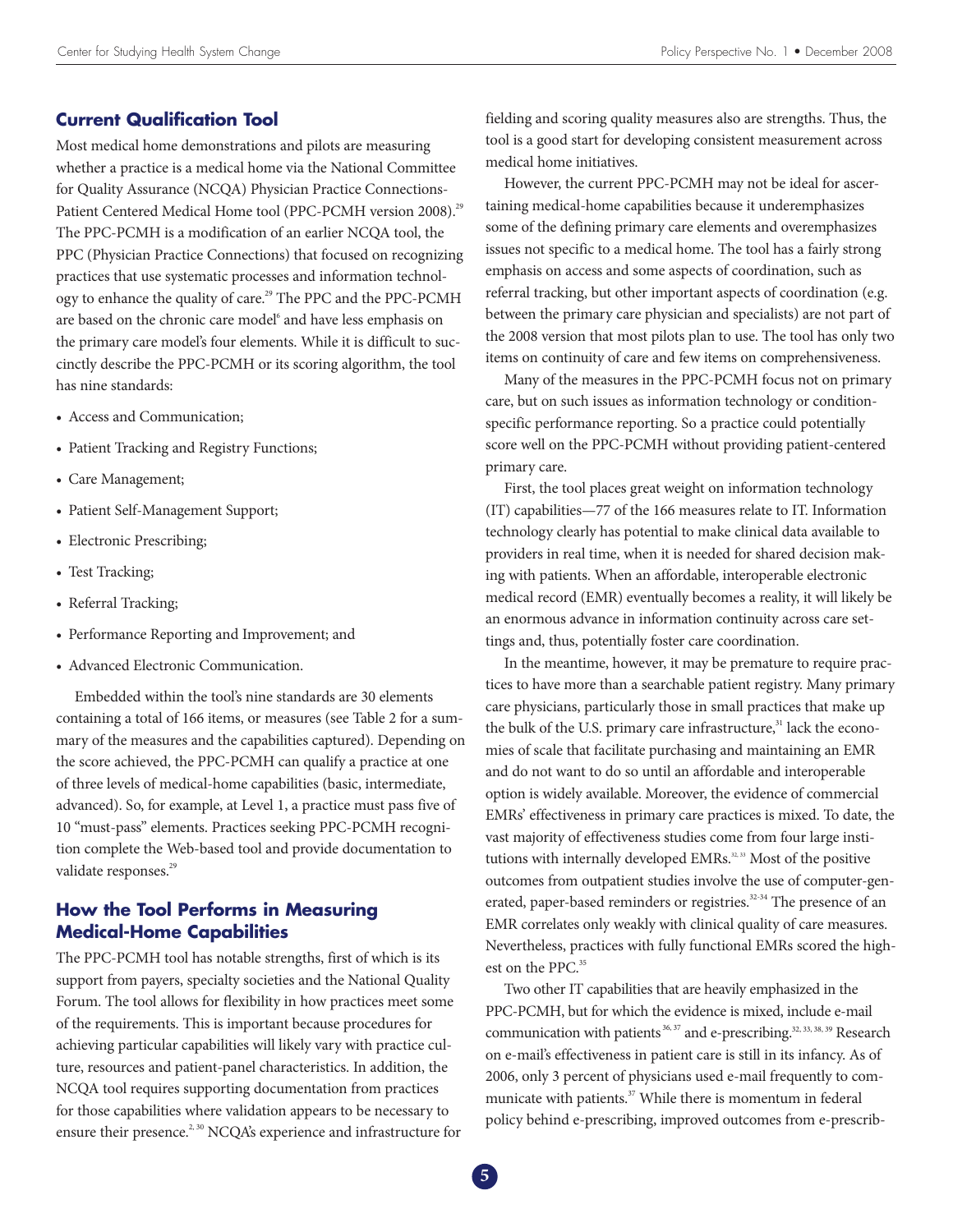## **Current Qualification Tool**

Most medical home demonstrations and pilots are measuring whether a practice is a medical home via the National Committee for Quality Assurance (NCQA) Physician Practice Connections-Patient Centered Medical Home tool (PPC-PCMH version 2008).<sup>29</sup> The PPC-PCMH is a modification of an earlier NCQA tool, the PPC (Physician Practice Connections) that focused on recognizing practices that use systematic processes and information technology to enhance the quality of care.<sup>29</sup> The PPC and the PPC-PCMH are based on the chronic care model<sup>6</sup> and have less emphasis on the primary care model's four elements. While it is difficult to succinctly describe the PPC-PCMH or its scoring algorithm, the tool has nine standards:

- Access and Communication:
- Patient Tracking and Registry Functions;
- Care Management;
- Patient Self-Management Support;
- Electronic Prescribing;
- Test Tracking;
- Referral Tracking;
- • Performance Reporting and Improvement; and
- Advanced Electronic Communication.

Embedded within the tool's nine standards are 30 elements containing a total of 166 items, or measures (see Table 2 for a summary of the measures and the capabilities captured). Depending on the score achieved, the PPC-PCMH can qualify a practice at one of three levels of medical-home capabilities (basic, intermediate, advanced). So, for example, at Level 1, a practice must pass five of 10 "must-pass" elements. Practices seeking PPC-PCMH recognition complete the Web-based tool and provide documentation to validate responses.<sup>29</sup>

## **How the Tool Performs in Measuring Medical-Home Capabilities**

The PPC-PCMH tool has notable strengths, first of which is its support from payers, specialty societies and the National Quality Forum. The tool allows for flexibility in how practices meet some of the requirements. This is important because procedures for achieving particular capabilities will likely vary with practice culture, resources and patient-panel characteristics. In addition, the NCQA tool requires supporting documentation from practices for those capabilities where validation appears to be necessary to ensure their presence.<sup>2, 30</sup> NCQA's experience and infrastructure for fielding and scoring quality measures also are strengths. Thus, the tool is a good start for developing consistent measurement across medical home initiatives.

However, the current PPC-PCMH may not be ideal for ascertaining medical-home capabilities because it underemphasizes some of the defining primary care elements and overemphasizes issues not specific to a medical home. The tool has a fairly strong emphasis on access and some aspects of coordination, such as referral tracking, but other important aspects of coordination (e.g. between the primary care physician and specialists) are not part of the 2008 version that most pilots plan to use. The tool has only two items on continuity of care and few items on comprehensiveness.

Many of the measures in the PPC-PCMH focus not on primary care, but on such issues as information technology or conditionspecific performance reporting. So a practice could potentially score well on the PPC-PCMH without providing patient-centered primary care.

First, the tool places great weight on information technology (IT) capabilities—77 of the 166 measures relate to IT. Information technology clearly has potential to make clinical data available to providers in real time, when it is needed for shared decision making with patients. When an affordable, interoperable electronic medical record (EMR) eventually becomes a reality, it will likely be an enormous advance in information continuity across care settings and, thus, potentially foster care coordination.

In the meantime, however, it may be premature to require practices to have more than a searchable patient registry. Many primary care physicians, particularly those in small practices that make up the bulk of the U.S. primary care infrastructure,<sup>31</sup> lack the economies of scale that facilitate purchasing and maintaining an EMR and do not want to do so until an affordable and interoperable option is widely available. Moreover, the evidence of commercial EMRs' effectiveness in primary care practices is mixed. To date, the vast majority of effectiveness studies come from four large institutions with internally developed EMRs.<sup>32, 33</sup> Most of the positive outcomes from outpatient studies involve the use of computer-generated, paper-based reminders or registries.<sup>32-34</sup> The presence of an EMR correlates only weakly with clinical quality of care measures. Nevertheless, practices with fully functional EMRs scored the highest on the PPC.<sup>35</sup>

Two other IT capabilities that are heavily emphasized in the PPC-PCMH, but for which the evidence is mixed, include e-mail communication with patients <sup>36, 37</sup> and e-prescribing.<sup>32, 33, 38, 39</sup> Research on e-mail's effectiveness in patient care is still in its infancy. As of 2006, only 3 percent of physicians used e-mail frequently to communicate with patients.<sup>37</sup> While there is momentum in federal policy behind e-prescribing, improved outcomes from e-prescrib-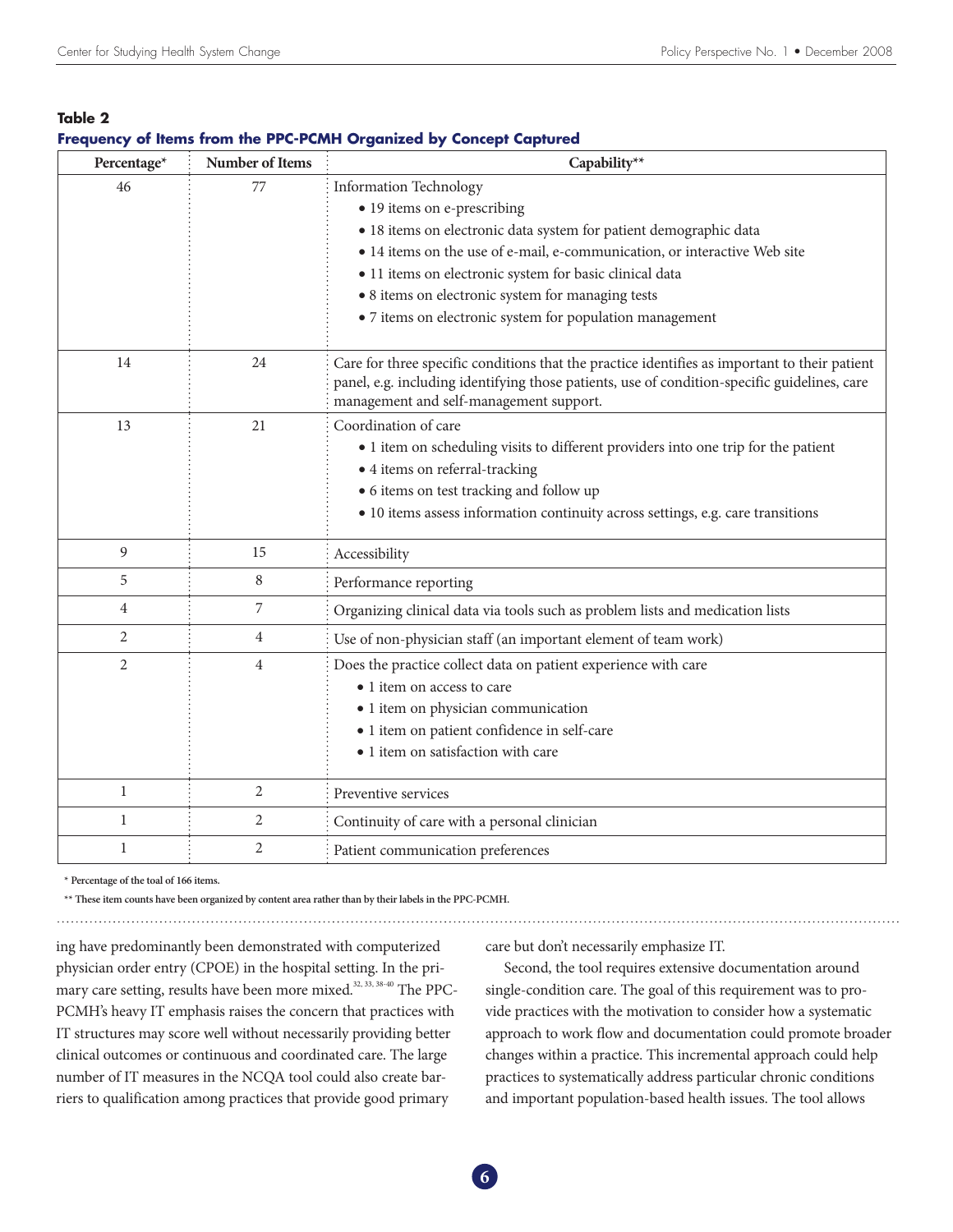#### **Table 2 Frequency of Items from the PPC-PCMH Organized by Concept Captured**

| Percentage*    | Number of Items | Capability**                                                                                                                                                                                                                                                                                                                                                                               |  |  |  |
|----------------|-----------------|--------------------------------------------------------------------------------------------------------------------------------------------------------------------------------------------------------------------------------------------------------------------------------------------------------------------------------------------------------------------------------------------|--|--|--|
| 46             | 77              | <b>Information Technology</b><br>• 19 items on e-prescribing<br>· 18 items on electronic data system for patient demographic data<br>• 14 items on the use of e-mail, e-communication, or interactive Web site<br>· 11 items on electronic system for basic clinical data<br>• 8 items on electronic system for managing tests<br>• 7 items on electronic system for population management |  |  |  |
| 14             | 24              | Care for three specific conditions that the practice identifies as important to their patient<br>panel, e.g. including identifying those patients, use of condition-specific guidelines, care<br>management and self-management support.                                                                                                                                                   |  |  |  |
| 13             | 21              | Coordination of care<br>• 1 item on scheduling visits to different providers into one trip for the patient<br>• 4 items on referral-tracking<br>• 6 items on test tracking and follow up<br>• 10 items assess information continuity across settings, e.g. care transitions                                                                                                                |  |  |  |
| $\mathfrak{g}$ | 15              | Accessibility                                                                                                                                                                                                                                                                                                                                                                              |  |  |  |
| 5              | 8               | Performance reporting                                                                                                                                                                                                                                                                                                                                                                      |  |  |  |
| 4              | 7               | Organizing clinical data via tools such as problem lists and medication lists                                                                                                                                                                                                                                                                                                              |  |  |  |
| $\overline{2}$ | $\overline{4}$  | Use of non-physician staff (an important element of team work)                                                                                                                                                                                                                                                                                                                             |  |  |  |
| $\overline{2}$ | $\overline{4}$  | Does the practice collect data on patient experience with care<br>• 1 item on access to care<br>· 1 item on physician communication<br>· 1 item on patient confidence in self-care<br>• 1 item on satisfaction with care                                                                                                                                                                   |  |  |  |
| $\mathbf{1}$   | 2               | Preventive services                                                                                                                                                                                                                                                                                                                                                                        |  |  |  |
| 1              | $\overline{c}$  | Continuity of care with a personal clinician                                                                                                                                                                                                                                                                                                                                               |  |  |  |
| $\mathbf{1}$   | $\overline{2}$  | Patient communication preferences                                                                                                                                                                                                                                                                                                                                                          |  |  |  |

**\* Percentage of the toal of 166 items.**

**\*\* These item counts have been organized by content area rather than by their labels in the PPC-PCMH.**

ing have predominantly been demonstrated with computerized physician order entry (CPOE) in the hospital setting. In the primary care setting, results have been more mixed.<sup>32, 33, 38-40</sup> The PPC-PCMH's heavy IT emphasis raises the concern that practices with IT structures may score well without necessarily providing better clinical outcomes or continuous and coordinated care. The large number of IT measures in the NCQA tool could also create bar-

riers to qualification among practices that provide good primary

care but don't necessarily emphasize IT.

Second, the tool requires extensive documentation around single-condition care. The goal of this requirement was to provide practices with the motivation to consider how a systematic approach to work flow and documentation could promote broader changes within a practice. This incremental approach could help practices to systematically address particular chronic conditions and important population-based health issues. The tool allows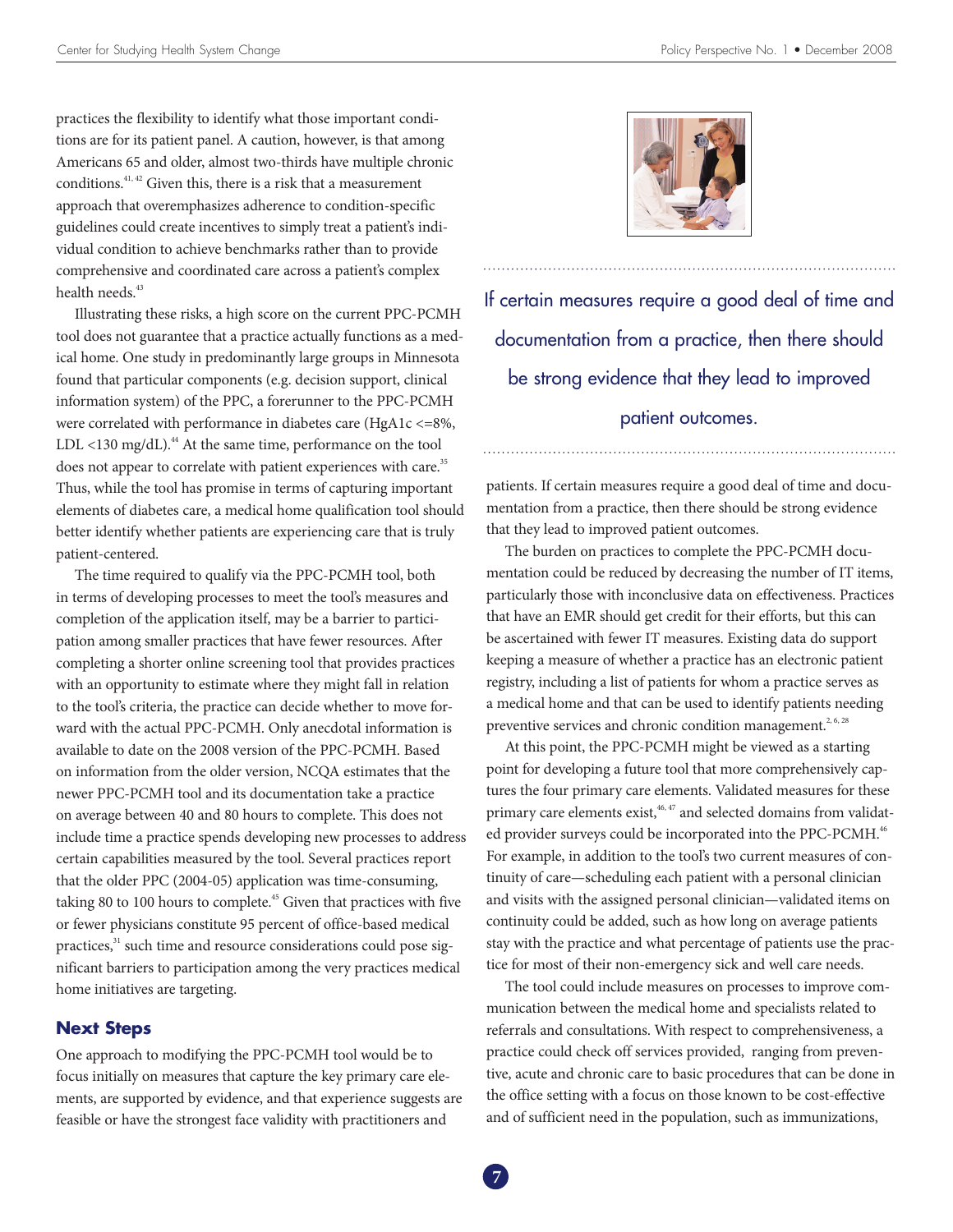practices the flexibility to identify what those important conditions are for its patient panel. A caution, however, is that among Americans 65 and older, almost two-thirds have multiple chronic conditions.<sup>41, 42</sup> Given this, there is a risk that a measurement approach that overemphasizes adherence to condition-specific guidelines could create incentives to simply treat a patient's individual condition to achieve benchmarks rather than to provide comprehensive and coordinated care across a patient's complex health needs.<sup>43</sup>

Illustrating these risks, a high score on the current PPC-PCMH tool does not guarantee that a practice actually functions as a medical home. One study in predominantly large groups in Minnesota found that particular components (e.g. decision support, clinical information system) of the PPC, a forerunner to the PPC-PCMH were correlated with performance in diabetes care (HgA1c <=8%, LDL <130 mg/dL).<sup>44</sup> At the same time, performance on the tool does not appear to correlate with patient experiences with care.<sup>35</sup> Thus, while the tool has promise in terms of capturing important elements of diabetes care, a medical home qualification tool should better identify whether patients are experiencing care that is truly patient-centered.

The time required to qualify via the PPC-PCMH tool, both in terms of developing processes to meet the tool's measures and completion of the application itself, may be a barrier to participation among smaller practices that have fewer resources. After completing a shorter online screening tool that provides practices with an opportunity to estimate where they might fall in relation to the tool's criteria, the practice can decide whether to move forward with the actual PPC-PCMH. Only anecdotal information is available to date on the 2008 version of the PPC-PCMH. Based on information from the older version, NCQA estimates that the newer PPC-PCMH tool and its documentation take a practice on average between 40 and 80 hours to complete. This does not include time a practice spends developing new processes to address certain capabilities measured by the tool. Several practices report that the older PPC (2004-05) application was time-consuming, taking 80 to 100 hours to complete.<sup>45</sup> Given that practices with five or fewer physicians constitute 95 percent of office-based medical practices,<sup>31</sup> such time and resource considerations could pose significant barriers to participation among the very practices medical home initiatives are targeting.

#### **Next Steps**

One approach to modifying the PPC-PCMH tool would be to focus initially on measures that capture the key primary care elements, are supported by evidence, and that experience suggests are feasible or have the strongest face validity with practitioners and



If certain measures require a good deal of time and documentation from a practice, then there should be strong evidence that they lead to improved patient outcomes.

patients. If certain measures require a good deal of time and documentation from a practice, then there should be strong evidence that they lead to improved patient outcomes.

The burden on practices to complete the PPC-PCMH documentation could be reduced by decreasing the number of IT items, particularly those with inconclusive data on effectiveness. Practices that have an EMR should get credit for their efforts, but this can be ascertained with fewer IT measures. Existing data do support keeping a measure of whether a practice has an electronic patient registry, including a list of patients for whom a practice serves as a medical home and that can be used to identify patients needing preventive services and chronic condition management.<sup>2, 6, 28</sup>

At this point, the PPC-PCMH might be viewed as a starting point for developing a future tool that more comprehensively captures the four primary care elements. Validated measures for these primary care elements exist,<sup>46,47</sup> and selected domains from validated provider surveys could be incorporated into the PPC-PCMH.<sup>46</sup> For example, in addition to the tool's two current measures of continuity of care—scheduling each patient with a personal clinician and visits with the assigned personal clinician—validated items on continuity could be added, such as how long on average patients stay with the practice and what percentage of patients use the practice for most of their non-emergency sick and well care needs.

The tool could include measures on processes to improve communication between the medical home and specialists related to referrals and consultations. With respect to comprehensiveness, a practice could check off services provided, ranging from preventive, acute and chronic care to basic procedures that can be done in the office setting with a focus on those known to be cost-effective and of sufficient need in the population, such as immunizations,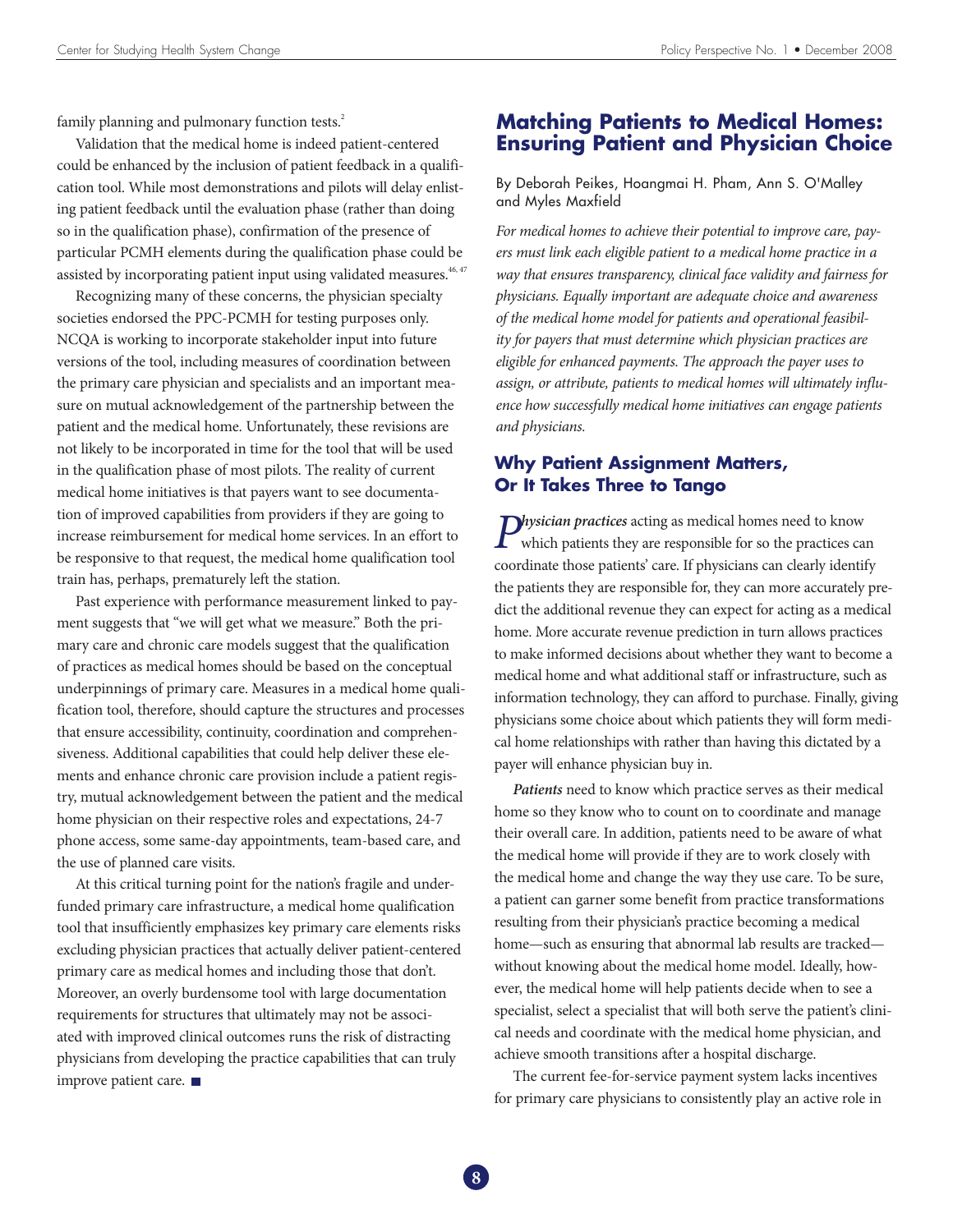family planning and pulmonary function tests.<sup>2</sup>

Validation that the medical home is indeed patient-centered could be enhanced by the inclusion of patient feedback in a qualification tool. While most demonstrations and pilots will delay enlisting patient feedback until the evaluation phase (rather than doing so in the qualification phase), confirmation of the presence of particular PCMH elements during the qualification phase could be assisted by incorporating patient input using validated measures. $46, 47$ 

Recognizing many of these concerns, the physician specialty societies endorsed the PPC-PCMH for testing purposes only. NCQA is working to incorporate stakeholder input into future versions of the tool, including measures of coordination between the primary care physician and specialists and an important measure on mutual acknowledgement of the partnership between the patient and the medical home. Unfortunately, these revisions are not likely to be incorporated in time for the tool that will be used in the qualification phase of most pilots. The reality of current medical home initiatives is that payers want to see documentation of improved capabilities from providers if they are going to increase reimbursement for medical home services. In an effort to be responsive to that request, the medical home qualification tool train has, perhaps, prematurely left the station.

Past experience with performance measurement linked to payment suggests that "we will get what we measure." Both the primary care and chronic care models suggest that the qualification of practices as medical homes should be based on the conceptual underpinnings of primary care. Measures in a medical home qualification tool, therefore, should capture the structures and processes that ensure accessibility, continuity, coordination and comprehensiveness. Additional capabilities that could help deliver these elements and enhance chronic care provision include a patient registry, mutual acknowledgement between the patient and the medical home physician on their respective roles and expectations, 24-7 phone access, some same-day appointments, team-based care, and the use of planned care visits.

**7** excluding physician practices that actually deliver patient-centered At this critical turning point for the nation's fragile and underfunded primary care infrastructure, a medical home qualification tool that insufficiently emphasizes key primary care elements risks primary care as medical homes and including those that don't. Moreover, an overly burdensome tool with large documentation requirements for structures that ultimately may not be associated with improved clinical outcomes runs the risk of distracting physicians from developing the practice capabilities that can truly improve patient care.

## **Matching Patients to Medical Homes: Ensuring Patient and Physician Choice**

By Deborah Peikes, Hoangmai H. Pham, Ann S. O'Malley and Myles Maxfield

*For medical homes to achieve their potential to improve care, payers must link each eligible patient to a medical home practice in a way that ensures transparency, clinical face validity and fairness for physicians. Equally important are adequate choice and awareness of the medical home model for patients and operational feasibility for payers that must determine which physician practices are eligible for enhanced payments. The approach the payer uses to assign, or attribute, patients to medical homes will ultimately influence how successfully medical home initiatives can engage patients and physicians.*

## **Why Patient Assignment Matters, Or It Takes Three to Tango**

**P**<sup>hysician practices acting as medical homes need to know which patients they are responsible for so the practices can</sup> coordinate those patients' care. If physicians can clearly identify the patients they are responsible for, they can more accurately predict the additional revenue they can expect for acting as a medical home. More accurate revenue prediction in turn allows practices to make informed decisions about whether they want to become a medical home and what additional staff or infrastructure, such as information technology, they can afford to purchase. Finally, giving physicians some choice about which patients they will form medical home relationships with rather than having this dictated by a payer will enhance physician buy in.

specialist, select a specialist that will both serve the patient's clini-*Patients* need to know which practice serves as their medical home so they know who to count on to coordinate and manage their overall care. In addition, patients need to be aware of what the medical home will provide if they are to work closely with the medical home and change the way they use care. To be sure, a patient can garner some benefit from practice transformations resulting from their physician's practice becoming a medical home—such as ensuring that abnormal lab results are tracked without knowing about the medical home model. Ideally, however, the medical home will help patients decide when to see a cal needs and coordinate with the medical home physician, and achieve smooth transitions after a hospital discharge.

The current fee-for-service payment system lacks incentives for primary care physicians to consistently play an active role in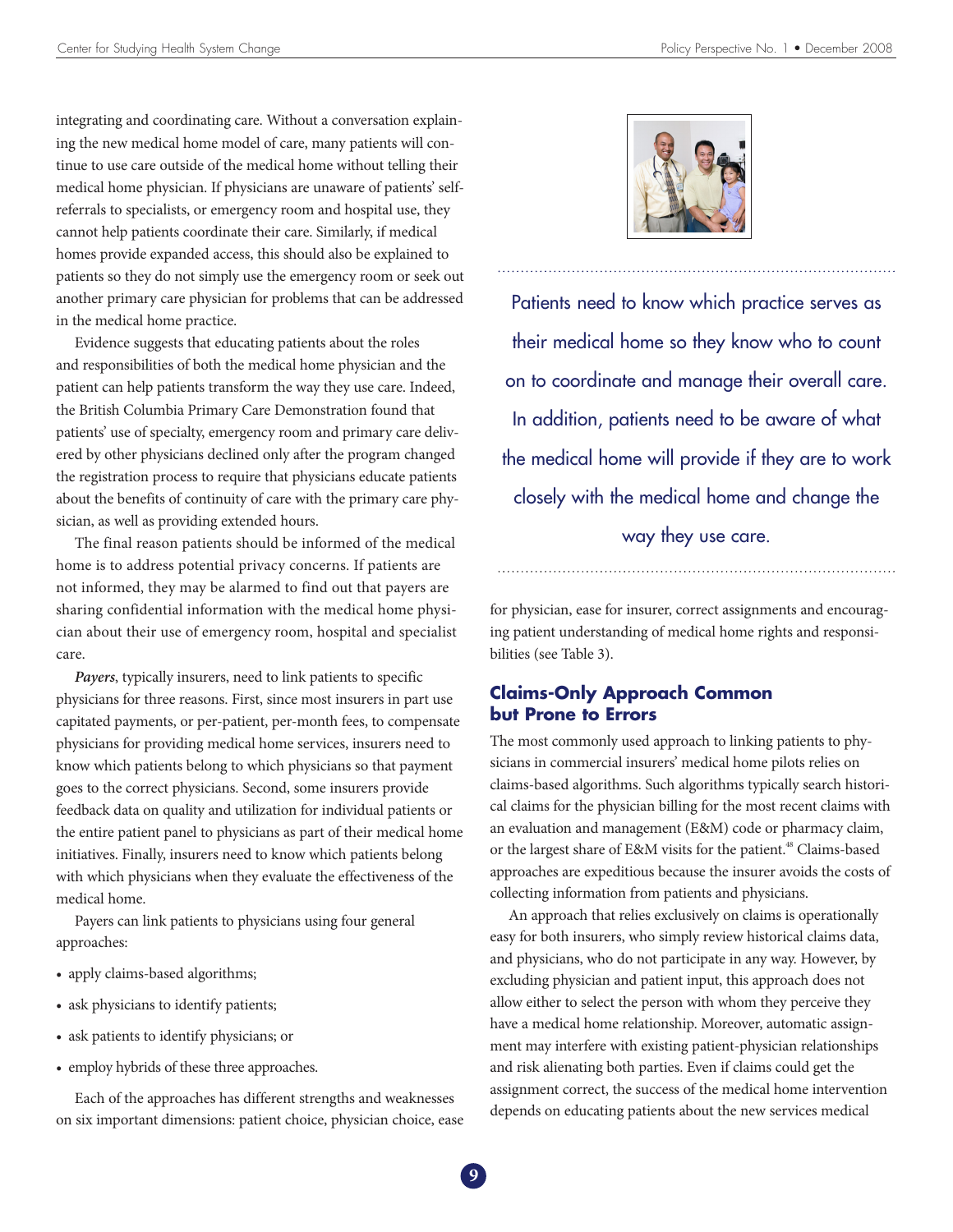integrating and coordinating care. Without a conversation explaining the new medical home model of care, many patients will continue to use care outside of the medical home without telling their medical home physician. If physicians are unaware of patients' selfreferrals to specialists, or emergency room and hospital use, they cannot help patients coordinate their care. Similarly, if medical homes provide expanded access, this should also be explained to patients so they do not simply use the emergency room or seek out another primary care physician for problems that can be addressed in the medical home practice.

Evidence suggests that educating patients about the roles and responsibilities of both the medical home physician and the patient can help patients transform the way they use care. Indeed, the British Columbia Primary Care Demonstration found that patients' use of specialty, emergency room and primary care delivered by other physicians declined only after the program changed the registration process to require that physicians educate patients about the benefits of continuity of care with the primary care physician, as well as providing extended hours.

The final reason patients should be informed of the medical home is to address potential privacy concerns. If patients are not informed, they may be alarmed to find out that payers are sharing confidential information with the medical home physician about their use of emergency room, hospital and specialist care.

*Payers*, typically insurers, need to link patients to specific physicians for three reasons. First, since most insurers in part use capitated payments, or per-patient, per-month fees, to compensate physicians for providing medical home services, insurers need to know which patients belong to which physicians so that payment goes to the correct physicians. Second, some insurers provide feedback data on quality and utilization for individual patients or the entire patient panel to physicians as part of their medical home initiatives. Finally, insurers need to know which patients belong with which physicians when they evaluate the effectiveness of the medical home.

Payers can link patients to physicians using four general approaches:

- apply claims-based algorithms;
- ask physicians to identify patients;
- ask patients to identify physicians; or
- employ hybrids of these three approaches.

Each of the approaches has different strengths and weaknesses on six important dimensions: patient choice, physician choice, ease



Patients need to know which practice serves as their medical home so they know who to count on to coordinate and manage their overall care. In addition, patients need to be aware of what the medical home will provide if they are to work closely with the medical home and change the way they use care.

for physician, ease for insurer, correct assignments and encouraging patient understanding of medical home rights and responsibilities (see Table 3).

## **Claims-Only Approach Common but Prone to Errors**

The most commonly used approach to linking patients to physicians in commercial insurers' medical home pilots relies on claims-based algorithms. Such algorithms typically search historical claims for the physician billing for the most recent claims with an evaluation and management (E&M) code or pharmacy claim, or the largest share of E&M visits for the patient.<sup>48</sup> Claims-based approaches are expeditious because the insurer avoids the costs of collecting information from patients and physicians.

An approach that relies exclusively on claims is operationally easy for both insurers, who simply review historical claims data, and physicians, who do not participate in any way. However, by excluding physician and patient input, this approach does not allow either to select the person with whom they perceive they have a medical home relationship. Moreover, automatic assignment may interfere with existing patient-physician relationships and risk alienating both parties. Even if claims could get the assignment correct, the success of the medical home intervention depends on educating patients about the new services medical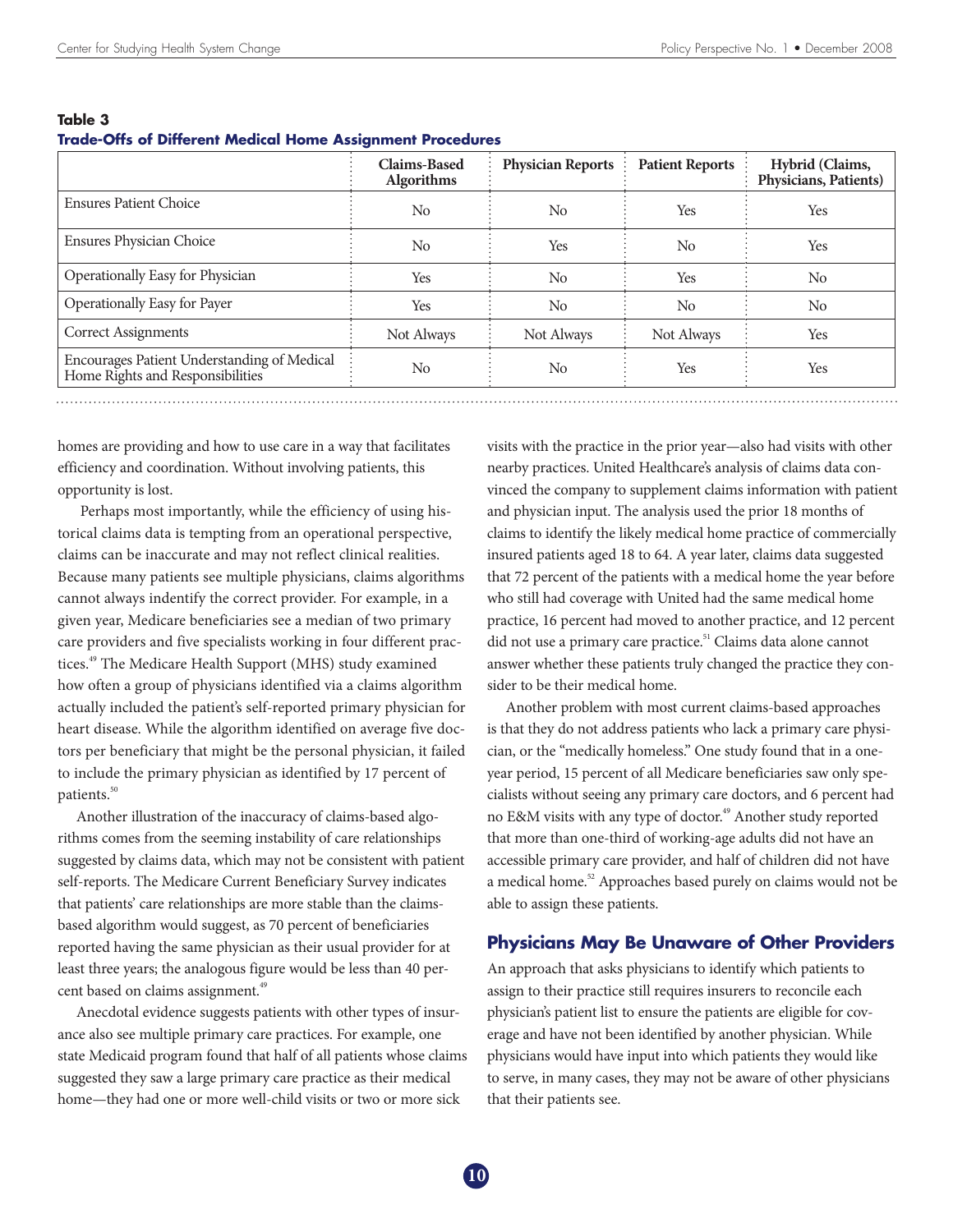**Physicians, Patients)**

| <b>Irage-Offs of Different Medical Home Assignment Procedures</b> |                                          |                                          |     |                                               |  |  |
|-------------------------------------------------------------------|------------------------------------------|------------------------------------------|-----|-----------------------------------------------|--|--|
|                                                                   | <b>Claims-Based</b><br><b>Algorithms</b> | <b>Physician Reports</b> Patient Reports |     | Hybrid (Claims,<br><b>Physicians, Patient</b> |  |  |
| <b>Ensures Patient Choice</b>                                     | No                                       | No                                       | Yes | Yes                                           |  |  |
| <b>Ensures Physician Choice</b>                                   | No                                       | Yes                                      | No  | Yes                                           |  |  |
| Operationally Easy for Physician                                  | Yes                                      | No                                       | Yes | No                                            |  |  |
| Operationally Easy for Payer                                      | Yes                                      | No                                       | No  | No                                            |  |  |

Correct Assignments is Not Always Not Always Not Always Not Always Not Always Not Always Not Always

Encourages ratient onderstanding of Medical in No No No Yes Yes Yes Yes No No Yes No Yes No Yes No Yes No Yes Yes Yes Yes No Yes No Yes No Yes No Yes No Yes No Yes No Yes No Yes No Yes No Yes No Yes No Yes No Yes No Yes No

#### **Table 3 Trade-Offs of Different Medical Home Assignment Procedures**

homes are providing and how to use care in a way that facilitates efficiency and coordination. Without involving patients, this opportunity is lost.

Encourages Patient Understanding of Medical

 Perhaps most importantly, while the efficiency of using historical claims data is tempting from an operational perspective, claims can be inaccurate and may not reflect clinical realities. Because many patients see multiple physicians, claims algorithms cannot always indentify the correct provider. For example, in a given year, Medicare beneficiaries see a median of two primary care providers and five specialists working in four different practices.<sup>49</sup> The Medicare Health Support (MHS) study examined how often a group of physicians identified via a claims algorithm actually included the patient's self-reported primary physician for heart disease. While the algorithm identified on average five doctors per beneficiary that might be the personal physician, it failed to include the primary physician as identified by 17 percent of patients.<sup>50</sup>

Another illustration of the inaccuracy of claims-based algorithms comes from the seeming instability of care relationships suggested by claims data, which may not be consistent with patient self-reports. The Medicare Current Beneficiary Survey indicates that patients' care relationships are more stable than the claimsbased algorithm would suggest, as 70 percent of beneficiaries reported having the same physician as their usual provider for at least three years; the analogous figure would be less than 40 percent based on claims assignment.<sup>49</sup>

Anecdotal evidence suggests patients with other types of insurance also see multiple primary care practices. For example, one state Medicaid program found that half of all patients whose claims suggested they saw a large primary care practice as their medical home—they had one or more well-child visits or two or more sick

visits with the practice in the prior year—also had visits with other nearby practices. United Healthcare's analysis of claims data convinced the company to supplement claims information with patient and physician input. The analysis used the prior 18 months of claims to identify the likely medical home practice of commercially insured patients aged 18 to 64. A year later, claims data suggested that 72 percent of the patients with a medical home the year before who still had coverage with United had the same medical home practice, 16 percent had moved to another practice, and 12 percent did not use a primary care practice.<sup>51</sup> Claims data alone cannot answer whether these patients truly changed the practice they consider to be their medical home.

Another problem with most current claims-based approaches is that they do not address patients who lack a primary care physician, or the "medically homeless." One study found that in a oneyear period, 15 percent of all Medicare beneficiaries saw only specialists without seeing any primary care doctors, and 6 percent had no E&M visits with any type of doctor.<sup>49</sup> Another study reported that more than one-third of working-age adults did not have an accessible primary care provider, and half of children did not have a medical home.<sup>52</sup> Approaches based purely on claims would not be able to assign these patients.

## **Physicians May Be Unaware of Other Providers**

An approach that asks physicians to identify which patients to assign to their practice still requires insurers to reconcile each physician's patient list to ensure the patients are eligible for coverage and have not been identified by another physician. While physicians would have input into which patients they would like to serve, in many cases, they may not be aware of other physicians that their patients see.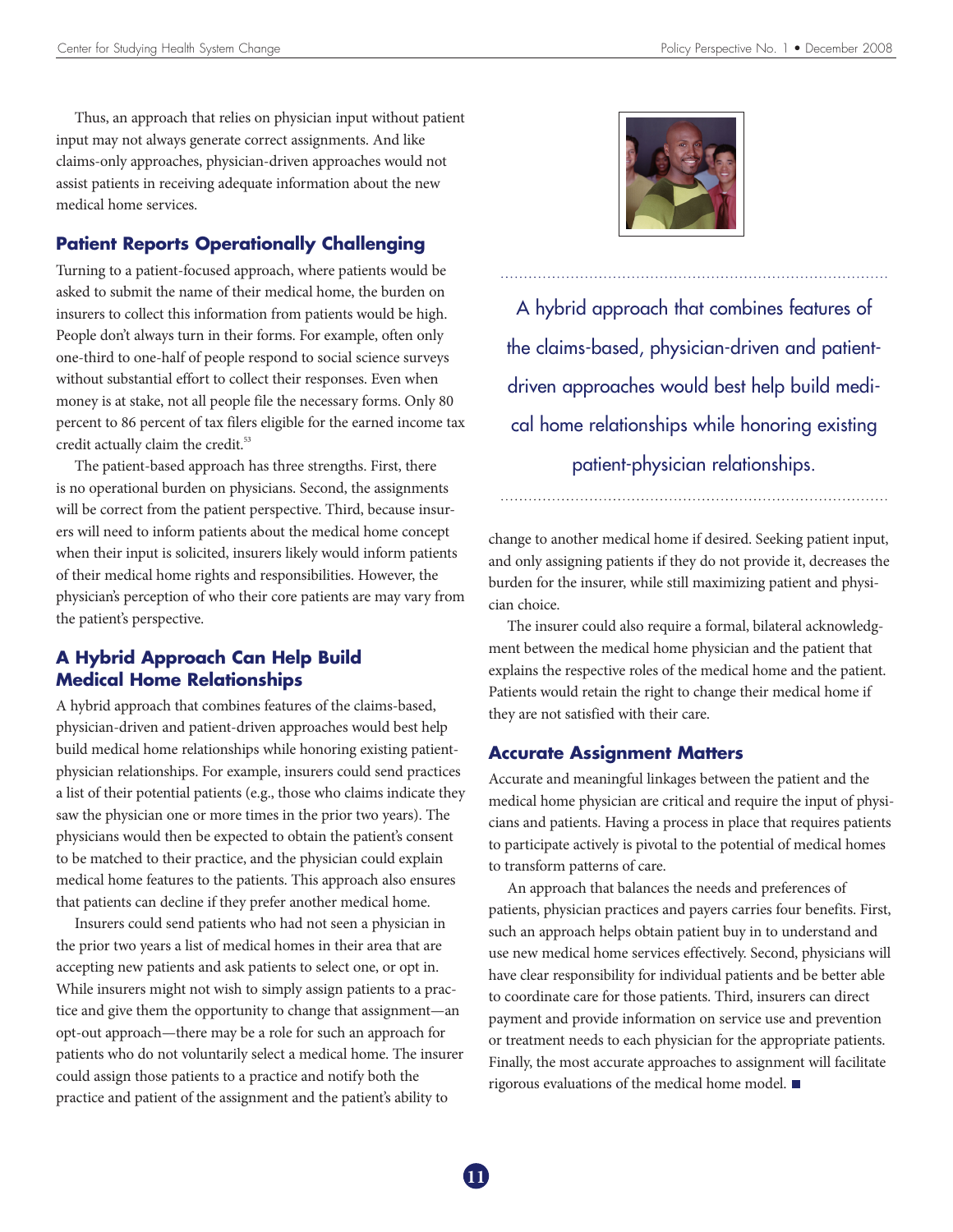Thus, an approach that relies on physician input without patient input may not always generate correct assignments. And like claims-only approaches, physician-driven approaches would not assist patients in receiving adequate information about the new medical home services.

#### **Patient Reports Operationally Challenging**

Turning to a patient-focused approach, where patients would be asked to submit the name of their medical home, the burden on insurers to collect this information from patients would be high. People don't always turn in their forms. For example, often only one-third to one-half of people respond to social science surveys without substantial effort to collect their responses. Even when money is at stake, not all people file the necessary forms. Only 80 percent to 86 percent of tax filers eligible for the earned income tax credit actually claim the credit.<sup>53</sup>

The patient-based approach has three strengths. First, there is no operational burden on physicians. Second, the assignments will be correct from the patient perspective. Third, because insurers will need to inform patients about the medical home concept when their input is solicited, insurers likely would inform patients of their medical home rights and responsibilities. However, the physician's perception of who their core patients are may vary from the patient's perspective.

## **A Hybrid Approach Can Help Build Medical Home Relationships**

A hybrid approach that combines features of the claims-based, physician-driven and patient-driven approaches would best help build medical home relationships while honoring existing patientphysician relationships. For example, insurers could send practices a list of their potential patients (e.g., those who claims indicate they saw the physician one or more times in the prior two years). The physicians would then be expected to obtain the patient's consent to be matched to their practice, and the physician could explain medical home features to the patients. This approach also ensures that patients can decline if they prefer another medical home.

Insurers could send patients who had not seen a physician in the prior two years a list of medical homes in their area that are accepting new patients and ask patients to select one, or opt in. While insurers might not wish to simply assign patients to a practice and give them the opportunity to change that assignment—an opt-out approach—there may be a role for such an approach for patients who do not voluntarily select a medical home. The insurer could assign those patients to a practice and notify both the practice and patient of the assignment and the patient's ability to



A hybrid approach that combines features of the claims-based, physician-driven and patientdriven approaches would best help build medical home relationships while honoring existing patient-physician relationships.

change to another medical home if desired. Seeking patient input, and only assigning patients if they do not provide it, decreases the burden for the insurer, while still maximizing patient and physician choice.

The insurer could also require a formal, bilateral acknowledgment between the medical home physician and the patient that explains the respective roles of the medical home and the patient. Patients would retain the right to change their medical home if they are not satisfied with their care.

## **Accurate Assignment Matters**

Accurate and meaningful linkages between the patient and the medical home physician are critical and require the input of physicians and patients. Having a process in place that requires patients to participate actively is pivotal to the potential of medical homes to transform patterns of care.

An approach that balances the needs and preferences of patients, physician practices and payers carries four benefits. First, such an approach helps obtain patient buy in to understand and use new medical home services effectively. Second, physicians will have clear responsibility for individual patients and be better able to coordinate care for those patients. Third, insurers can direct payment and provide information on service use and prevention or treatment needs to each physician for the appropriate patients. Finally, the most accurate approaches to assignment will facilitate rigorous evaluations of the medical home model.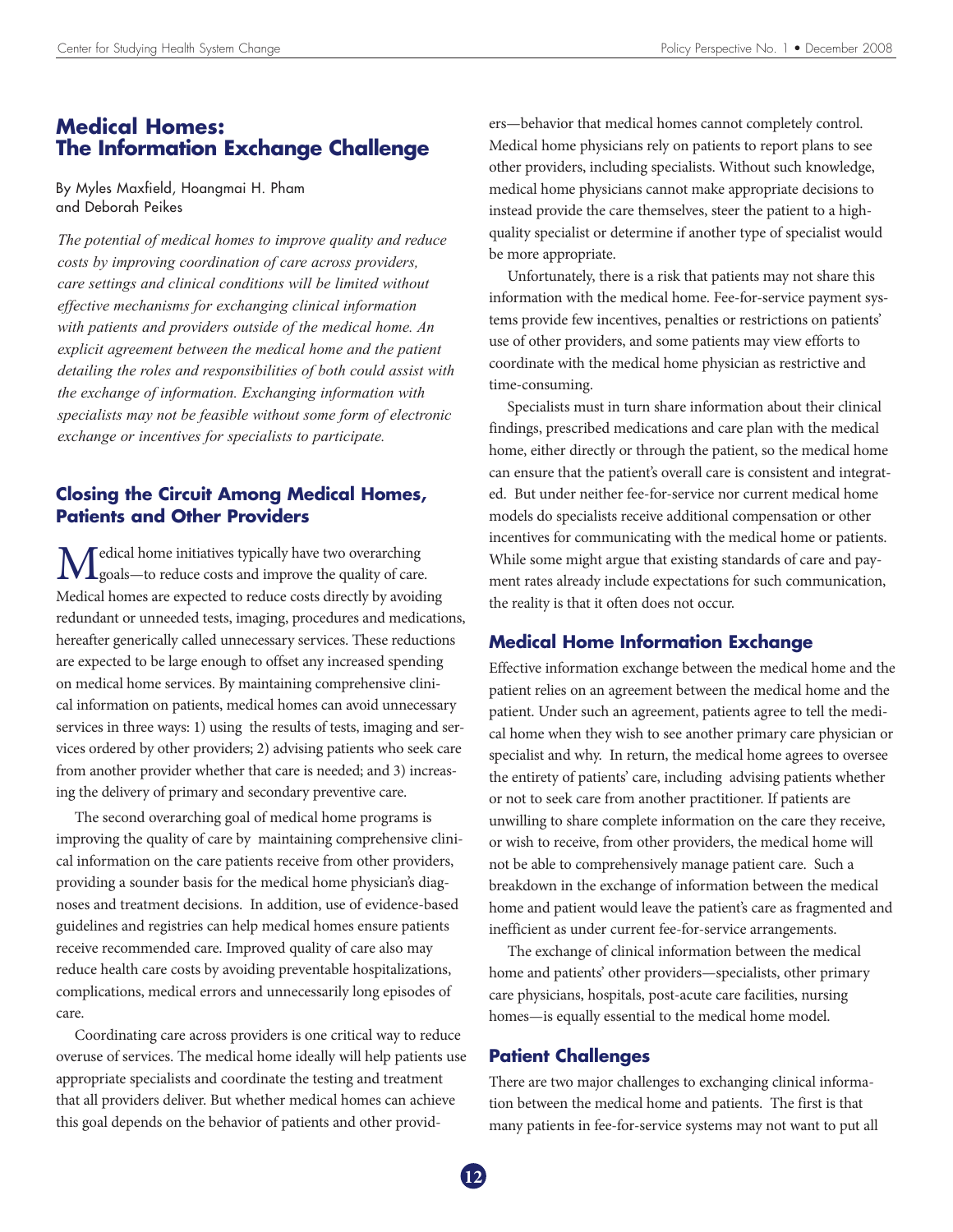## **Medical Homes: The Information Exchange Challenge**

By Myles Maxfield, Hoangmai H. Pham and Deborah Peikes

*The potential of medical homes to improve quality and reduce costs by improving coordination of care across providers, care settings and clinical conditions will be limited without effective mechanisms for exchanging clinical information with patients and providers outside of the medical home. An explicit agreement between the medical home and the patient detailing the roles and responsibilities of both could assist with the exchange of information. Exchanging information with specialists may not be feasible without some form of electronic exchange or incentives for specialists to participate.*

## **Closing the Circuit Among Medical Homes, Patients and Other Providers**

edical home initiatives typically have two overarching goals—to reduce costs and improve the quality of care. Medical homes are expected to reduce costs directly by avoiding redundant or unneeded tests, imaging, procedures and medications, hereafter generically called unnecessary services. These reductions are expected to be large enough to offset any increased spending on medical home services. By maintaining comprehensive clinical information on patients, medical homes can avoid unnecessary services in three ways: 1) using the results of tests, imaging and services ordered by other providers; 2) advising patients who seek care from another provider whether that care is needed; and 3) increasing the delivery of primary and secondary preventive care.

The second overarching goal of medical home programs is improving the quality of care by maintaining comprehensive clinical information on the care patients receive from other providers, providing a sounder basis for the medical home physician's diagnoses and treatment decisions. In addition, use of evidence-based guidelines and registries can help medical homes ensure patients receive recommended care. Improved quality of care also may reduce health care costs by avoiding preventable hospitalizations, complications, medical errors and unnecessarily long episodes of care.

Coordinating care across providers is one critical way to reduce overuse of services. The medical home ideally will help patients use appropriate specialists and coordinate the testing and treatment that all providers deliver. But whether medical homes can achieve this goal depends on the behavior of patients and other providers—behavior that medical homes cannot completely control. Medical home physicians rely on patients to report plans to see other providers, including specialists. Without such knowledge, medical home physicians cannot make appropriate decisions to instead provide the care themselves, steer the patient to a highquality specialist or determine if another type of specialist would be more appropriate.

Unfortunately, there is a risk that patients may not share this information with the medical home. Fee-for-service payment systems provide few incentives, penalties or restrictions on patients' use of other providers, and some patients may view efforts to coordinate with the medical home physician as restrictive and time-consuming.

Specialists must in turn share information about their clinical findings, prescribed medications and care plan with the medical home, either directly or through the patient, so the medical home can ensure that the patient's overall care is consistent and integrated. But under neither fee-for-service nor current medical home models do specialists receive additional compensation or other incentives for communicating with the medical home or patients. While some might argue that existing standards of care and payment rates already include expectations for such communication, the reality is that it often does not occur.

## **Medical Home Information Exchange**

Effective information exchange between the medical home and the patient relies on an agreement between the medical home and the patient. Under such an agreement, patients agree to tell the medical home when they wish to see another primary care physician or specialist and why. In return, the medical home agrees to oversee the entirety of patients' care, including advising patients whether or not to seek care from another practitioner. If patients are unwilling to share complete information on the care they receive, or wish to receive, from other providers, the medical home will not be able to comprehensively manage patient care. Such a breakdown in the exchange of information between the medical home and patient would leave the patient's care as fragmented and inefficient as under current fee-for-service arrangements.

The exchange of clinical information between the medical home and patients' other providers—specialists, other primary care physicians, hospitals, post-acute care facilities, nursing homes—is equally essential to the medical home model.

#### **Patient Challenges**

There are two major challenges to exchanging clinical information between the medical home and patients. The first is that many patients in fee-for-service systems may not want to put all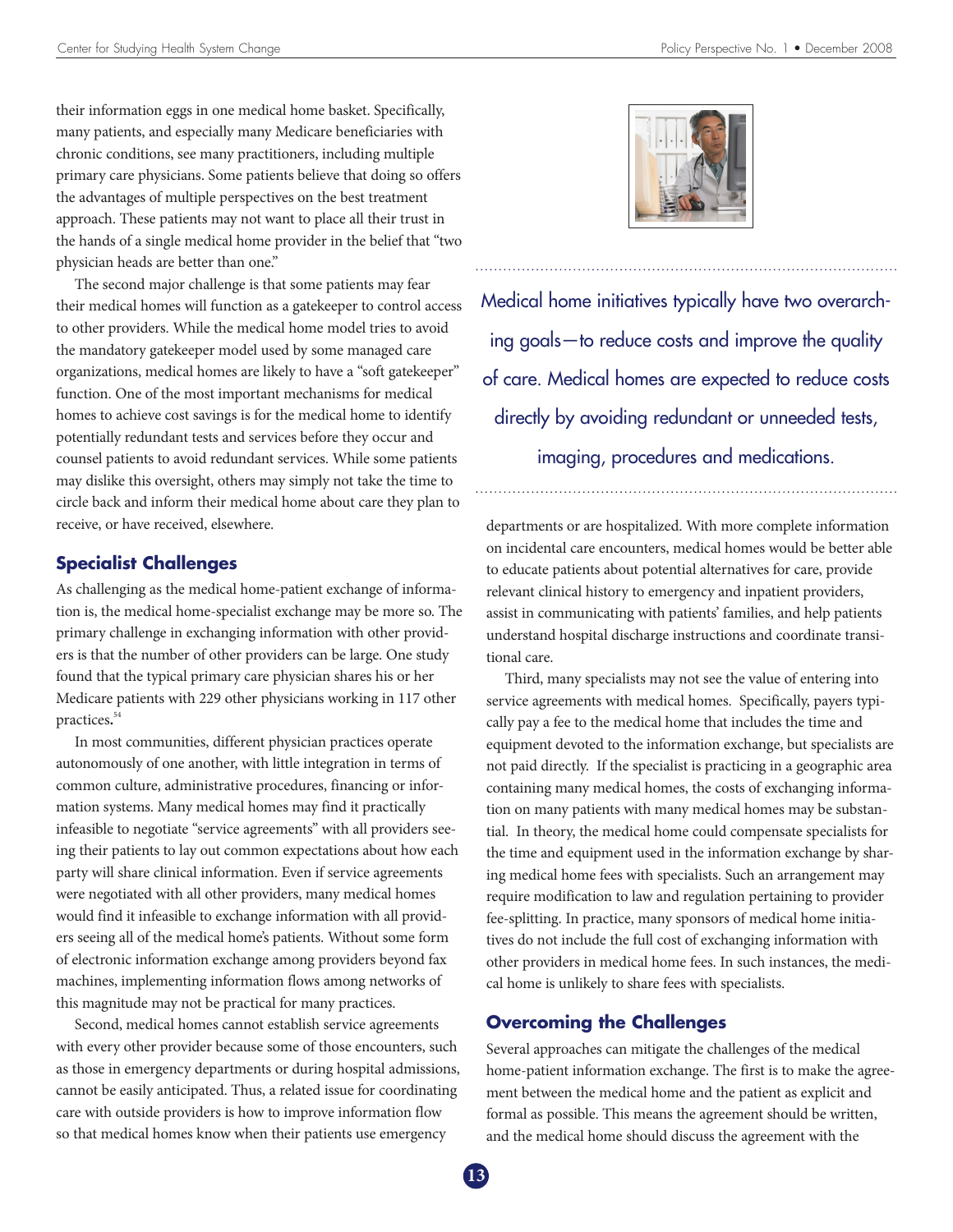their information eggs in one medical home basket. Specifically, many patients, and especially many Medicare beneficiaries with chronic conditions, see many practitioners, including multiple primary care physicians. Some patients believe that doing so offers the advantages of multiple perspectives on the best treatment approach. These patients may not want to place all their trust in the hands of a single medical home provider in the belief that "two physician heads are better than one."

The second major challenge is that some patients may fear their medical homes will function as a gatekeeper to control access to other providers. While the medical home model tries to avoid the mandatory gatekeeper model used by some managed care organizations, medical homes are likely to have a "soft gatekeeper" function. One of the most important mechanisms for medical homes to achieve cost savings is for the medical home to identify potentially redundant tests and services before they occur and counsel patients to avoid redundant services. While some patients may dislike this oversight, others may simply not take the time to circle back and inform their medical home about care they plan to receive, or have received, elsewhere.

## **Specialist Challenges**

As challenging as the medical home-patient exchange of information is, the medical home-specialist exchange may be more so. The primary challenge in exchanging information with other providers is that the number of other providers can be large. One study found that the typical primary care physician shares his or her Medicare patients with 229 other physicians working in 117 other practices**.** 54

In most communities, different physician practices operate autonomously of one another, with little integration in terms of common culture, administrative procedures, financing or information systems. Many medical homes may find it practically infeasible to negotiate "service agreements" with all providers seeing their patients to lay out common expectations about how each party will share clinical information. Even if service agreements were negotiated with all other providers, many medical homes would find it infeasible to exchange information with all providers seeing all of the medical home's patients. Without some form of electronic information exchange among providers beyond fax machines, implementing information flows among networks of this magnitude may not be practical for many practices.

Second, medical homes cannot establish service agreements with every other provider because some of those encounters, such as those in emergency departments or during hospital admissions, cannot be easily anticipated. Thus, a related issue for coordinating care with outside providers is how to improve information flow so that medical homes know when their patients use emergency



Medical home initiatives typically have two overarching goals—to reduce costs and improve the quality of care. Medical homes are expected to reduce costs directly by avoiding redundant or unneeded tests, imaging, procedures and medications.

departments or are hospitalized. With more complete information on incidental care encounters, medical homes would be better able to educate patients about potential alternatives for care, provide relevant clinical history to emergency and inpatient providers, assist in communicating with patients' families, and help patients understand hospital discharge instructions and coordinate transitional care.

Third, many specialists may not see the value of entering into service agreements with medical homes. Specifically, payers typically pay a fee to the medical home that includes the time and equipment devoted to the information exchange, but specialists are not paid directly. If the specialist is practicing in a geographic area containing many medical homes, the costs of exchanging information on many patients with many medical homes may be substantial. In theory, the medical home could compensate specialists for the time and equipment used in the information exchange by sharing medical home fees with specialists. Such an arrangement may require modification to law and regulation pertaining to provider fee-splitting. In practice, many sponsors of medical home initiatives do not include the full cost of exchanging information with other providers in medical home fees. In such instances, the medical home is unlikely to share fees with specialists.

#### **Overcoming the Challenges**

Several approaches can mitigate the challenges of the medical home-patient information exchange. The first is to make the agreement between the medical home and the patient as explicit and formal as possible. This means the agreement should be written, and the medical home should discuss the agreement with the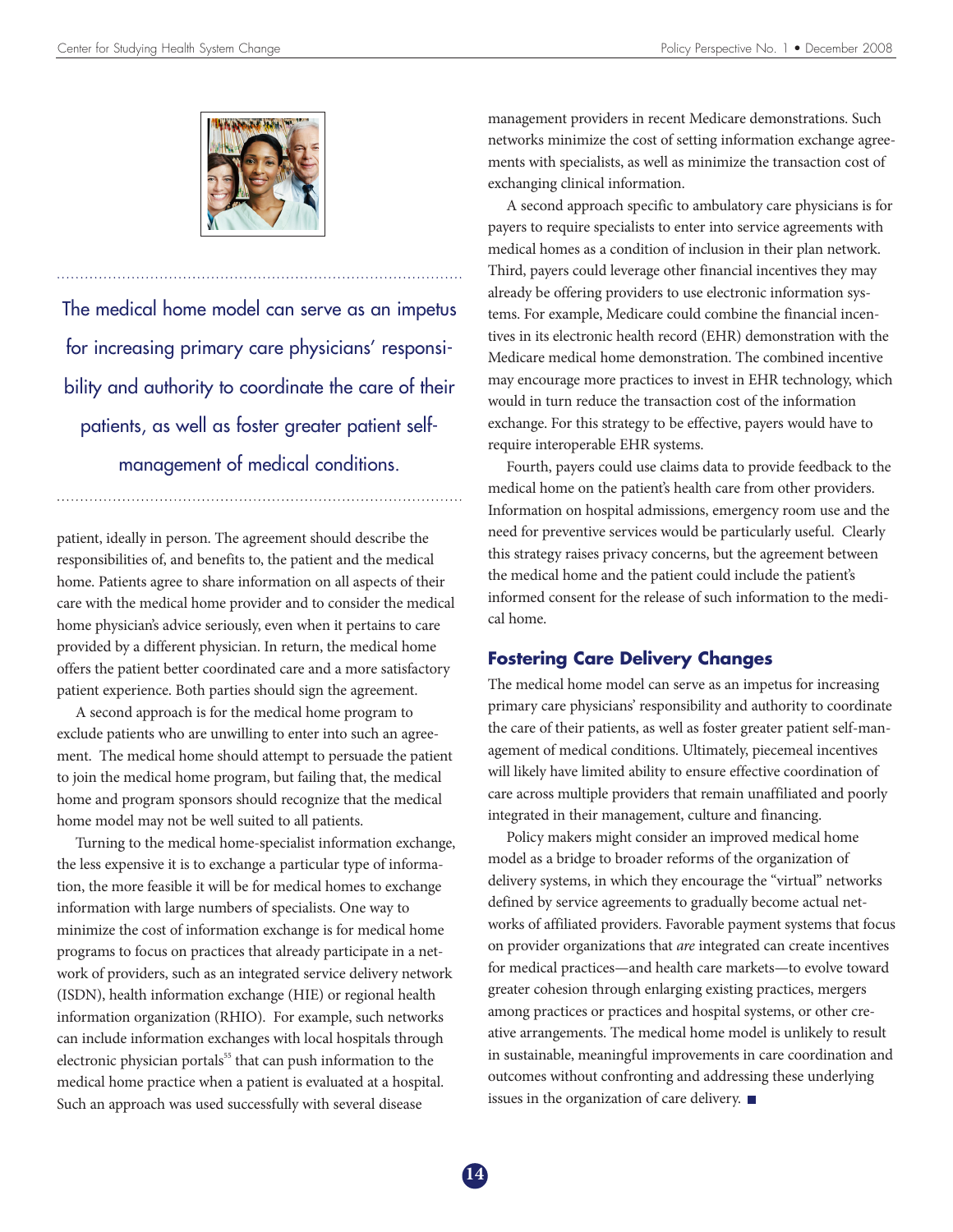

The medical home model can serve as an impetus for increasing primary care physicians' responsibility and authority to coordinate the care of their patients, as well as foster greater patient selfmanagement of medical conditions.

patient, ideally in person. The agreement should describe the responsibilities of, and benefits to, the patient and the medical home. Patients agree to share information on all aspects of their care with the medical home provider and to consider the medical home physician's advice seriously, even when it pertains to care provided by a different physician. In return, the medical home offers the patient better coordinated care and a more satisfactory patient experience. Both parties should sign the agreement.

A second approach is for the medical home program to exclude patients who are unwilling to enter into such an agreement. The medical home should attempt to persuade the patient to join the medical home program, but failing that, the medical home and program sponsors should recognize that the medical home model may not be well suited to all patients.

Turning to the medical home-specialist information exchange, the less expensive it is to exchange a particular type of information, the more feasible it will be for medical homes to exchange information with large numbers of specialists. One way to minimize the cost of information exchange is for medical home programs to focus on practices that already participate in a network of providers, such as an integrated service delivery network (ISDN), health information exchange (HIE) or regional health information organization (RHIO). For example, such networks can include information exchanges with local hospitals through electronic physician portals<sup>55</sup> that can push information to the medical home practice when a patient is evaluated at a hospital. Such an approach was used successfully with several disease

management providers in recent Medicare demonstrations. Such networks minimize the cost of setting information exchange agreements with specialists, as well as minimize the transaction cost of exchanging clinical information.

A second approach specific to ambulatory care physicians is for payers to require specialists to enter into service agreements with medical homes as a condition of inclusion in their plan network. Third, payers could leverage other financial incentives they may already be offering providers to use electronic information systems. For example, Medicare could combine the financial incentives in its electronic health record (EHR) demonstration with the Medicare medical home demonstration. The combined incentive may encourage more practices to invest in EHR technology, which would in turn reduce the transaction cost of the information exchange. For this strategy to be effective, payers would have to require interoperable EHR systems.

Fourth, payers could use claims data to provide feedback to the medical home on the patient's health care from other providers. Information on hospital admissions, emergency room use and the need for preventive services would be particularly useful. Clearly this strategy raises privacy concerns, but the agreement between the medical home and the patient could include the patient's informed consent for the release of such information to the medical home.

## **Fostering Care Delivery Changes**

The medical home model can serve as an impetus for increasing primary care physicians' responsibility and authority to coordinate the care of their patients, as well as foster greater patient self-management of medical conditions. Ultimately, piecemeal incentives will likely have limited ability to ensure effective coordination of care across multiple providers that remain unaffiliated and poorly integrated in their management, culture and financing.

Policy makers might consider an improved medical home model as a bridge to broader reforms of the organization of delivery systems, in which they encourage the "virtual" networks defined by service agreements to gradually become actual networks of affiliated providers. Favorable payment systems that focus on provider organizations that *are* integrated can create incentives for medical practices—and health care markets—to evolve toward greater cohesion through enlarging existing practices, mergers among practices or practices and hospital systems, or other creative arrangements. The medical home model is unlikely to result in sustainable, meaningful improvements in care coordination and outcomes without confronting and addressing these underlying issues in the organization of care delivery.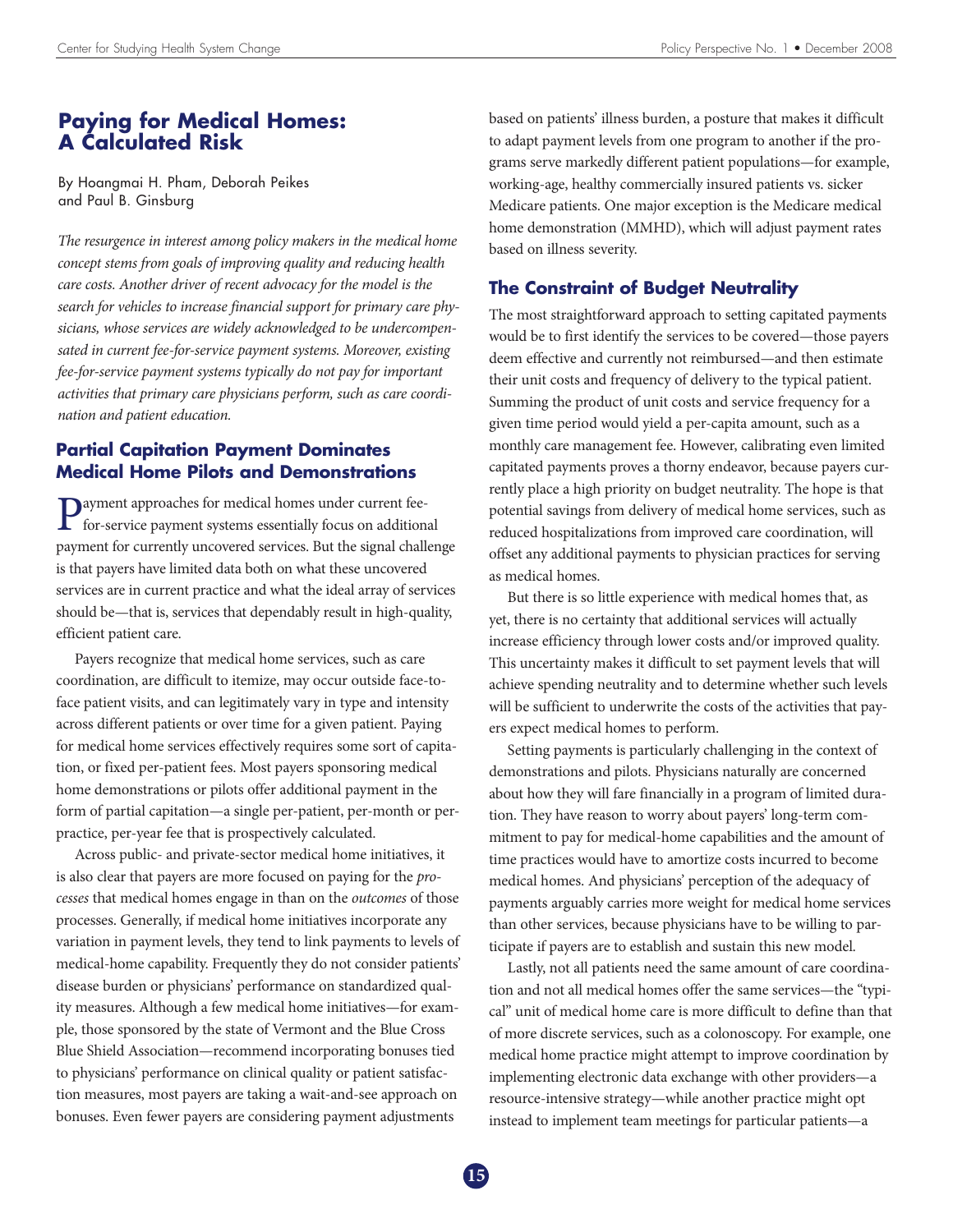## **Paying for Medical Homes: A Calculated Risk**

By Hoangmai H. Pham, Deborah Peikes and Paul B. Ginsburg

*The resurgence in interest among policy makers in the medical home concept stems from goals of improving quality and reducing health care costs. Another driver of recent advocacy for the model is the search for vehicles to increase financial support for primary care physicians, whose services are widely acknowledged to be undercompensated in current fee-for-service payment systems. Moreover, existing fee-for-service payment systems typically do not pay for important activities that primary care physicians perform, such as care coordination and patient education.* 

## **Partial Capitation Payment Dominates Medical Home Pilots and Demonstrations**

**Payment approaches for medical homes under current fee**for-service payment systems essentially focus on additional payment for currently uncovered services. But the signal challenge is that payers have limited data both on what these uncovered services are in current practice and what the ideal array of services should be—that is, services that dependably result in high-quality, efficient patient care.

Payers recognize that medical home services, such as care coordination, are difficult to itemize, may occur outside face-toface patient visits, and can legitimately vary in type and intensity across different patients or over time for a given patient. Paying for medical home services effectively requires some sort of capitation, or fixed per-patient fees. Most payers sponsoring medical home demonstrations or pilots offer additional payment in the form of partial capitation—a single per-patient, per-month or perpractice, per-year fee that is prospectively calculated.

Across public- and private-sector medical home initiatives, it is also clear that payers are more focused on paying for the *processes* that medical homes engage in than on the *outcomes* of those processes. Generally, if medical home initiatives incorporate any variation in payment levels, they tend to link payments to levels of medical-home capability. Frequently they do not consider patients' disease burden or physicians' performance on standardized quality measures. Although a few medical home initiatives—for example, those sponsored by the state of Vermont and the Blue Cross Blue Shield Association—recommend incorporating bonuses tied to physicians' performance on clinical quality or patient satisfaction measures, most payers are taking a wait-and-see approach on bonuses. Even fewer payers are considering payment adjustments

based on patients' illness burden, a posture that makes it difficult to adapt payment levels from one program to another if the programs serve markedly different patient populations—for example, working-age, healthy commercially insured patients vs. sicker Medicare patients. One major exception is the Medicare medical home demonstration (MMHD), which will adjust payment rates based on illness severity.

## **The Constraint of Budget Neutrality**

The most straightforward approach to setting capitated payments would be to first identify the services to be covered—those payers deem effective and currently not reimbursed—and then estimate their unit costs and frequency of delivery to the typical patient. Summing the product of unit costs and service frequency for a given time period would yield a per-capita amount, such as a monthly care management fee. However, calibrating even limited capitated payments proves a thorny endeavor, because payers currently place a high priority on budget neutrality. The hope is that potential savings from delivery of medical home services, such as reduced hospitalizations from improved care coordination, will offset any additional payments to physician practices for serving as medical homes.

But there is so little experience with medical homes that, as yet, there is no certainty that additional services will actually increase efficiency through lower costs and/or improved quality. This uncertainty makes it difficult to set payment levels that will achieve spending neutrality and to determine whether such levels will be sufficient to underwrite the costs of the activities that payers expect medical homes to perform.

Setting payments is particularly challenging in the context of demonstrations and pilots. Physicians naturally are concerned about how they will fare financially in a program of limited duration. They have reason to worry about payers' long-term commitment to pay for medical-home capabilities and the amount of time practices would have to amortize costs incurred to become medical homes. And physicians' perception of the adequacy of payments arguably carries more weight for medical home services than other services, because physicians have to be willing to participate if payers are to establish and sustain this new model.

Lastly, not all patients need the same amount of care coordination and not all medical homes offer the same services—the "typical" unit of medical home care is more difficult to define than that of more discrete services, such as a colonoscopy. For example, one medical home practice might attempt to improve coordination by implementing electronic data exchange with other providers—a resource-intensive strategy—while another practice might opt instead to implement team meetings for particular patients—a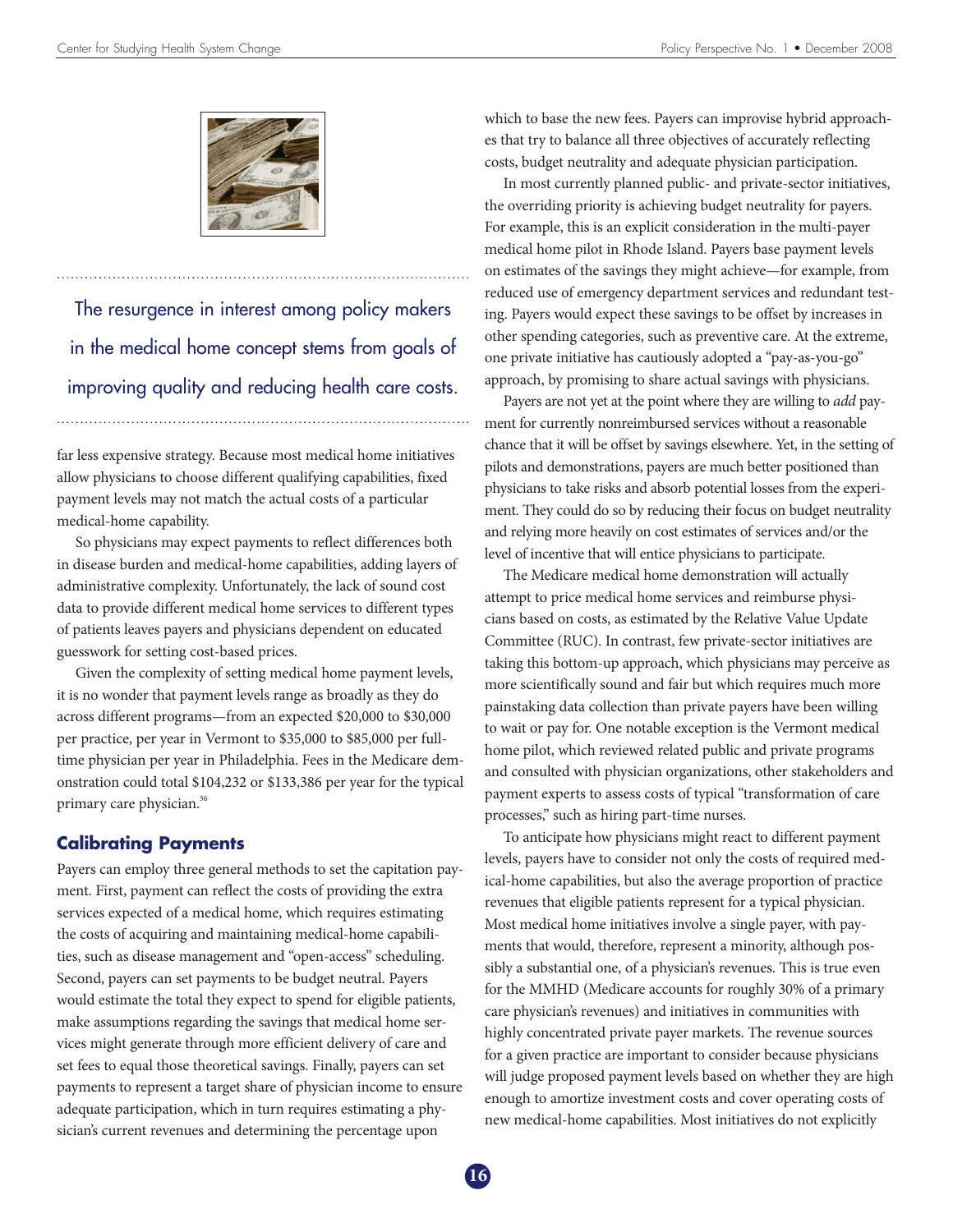

The resurgence in interest among policy makers in the medical home concept stems from goals of improving quality and reducing health care costs.

far less expensive strategy. Because most medical home initiatives allow physicians to choose different qualifying capabilities, fixed payment levels may not match the actual costs of a particular medical-home capability.

So physicians may expect payments to reflect differences both in disease burden and medical-home capabilities, adding layers of administrative complexity. Unfortunately, the lack of sound cost data to provide different medical home services to different types of patients leaves payers and physicians dependent on educated guesswork for setting cost-based prices.

Given the complexity of setting medical home payment levels, it is no wonder that payment levels range as broadly as they do across different programs—from an expected \$20,000 to \$30,000 per practice, per year in Vermont to \$35,000 to \$85,000 per fulltime physician per year in Philadelphia. Fees in the Medicare demonstration could total \$104,232 or \$133,386 per year for the typical primary care physician.<sup>56</sup>

#### **Calibrating Payments**

Payers can employ three general methods to set the capitation payment. First, payment can reflect the costs of providing the extra services expected of a medical home, which requires estimating the costs of acquiring and maintaining medical-home capabilities, such as disease management and "open-access" scheduling. Second, payers can set payments to be budget neutral. Payers would estimate the total they expect to spend for eligible patients, make assumptions regarding the savings that medical home services might generate through more efficient delivery of care and set fees to equal those theoretical savings. Finally, payers can set payments to represent a target share of physician income to ensure adequate participation, which in turn requires estimating a physician's current revenues and determining the percentage upon

which to base the new fees. Payers can improvise hybrid approaches that try to balance all three objectives of accurately reflecting costs, budget neutrality and adequate physician participation.

In most currently planned public- and private-sector initiatives, the overriding priority is achieving budget neutrality for payers. For example, this is an explicit consideration in the multi-payer medical home pilot in Rhode Island. Payers base payment levels on estimates of the savings they might achieve—for example, from reduced use of emergency department services and redundant testing. Payers would expect these savings to be offset by increases in other spending categories, such as preventive care. At the extreme, one private initiative has cautiously adopted a "pay-as-you-go" approach, by promising to share actual savings with physicians.

Payers are not yet at the point where they are willing to *add* payment for currently nonreimbursed services without a reasonable chance that it will be offset by savings elsewhere. Yet, in the setting of pilots and demonstrations, payers are much better positioned than physicians to take risks and absorb potential losses from the experiment. They could do so by reducing their focus on budget neutrality and relying more heavily on cost estimates of services and/or the level of incentive that will entice physicians to participate.

The Medicare medical home demonstration will actually attempt to price medical home services and reimburse physicians based on costs, as estimated by the Relative Value Update Committee (RUC). In contrast, few private-sector initiatives are taking this bottom-up approach, which physicians may perceive as more scientifically sound and fair but which requires much more painstaking data collection than private payers have been willing to wait or pay for. One notable exception is the Vermont medical home pilot, which reviewed related public and private programs and consulted with physician organizations, other stakeholders and payment experts to assess costs of typical "transformation of care processes," such as hiring part-time nurses.

To anticipate how physicians might react to different payment levels, payers have to consider not only the costs of required medical-home capabilities, but also the average proportion of practice revenues that eligible patients represent for a typical physician. Most medical home initiatives involve a single payer, with payments that would, therefore, represent a minority, although possibly a substantial one, of a physician's revenues. This is true even for the MMHD (Medicare accounts for roughly 30% of a primary care physician's revenues) and initiatives in communities with highly concentrated private payer markets. The revenue sources for a given practice are important to consider because physicians will judge proposed payment levels based on whether they are high enough to amortize investment costs and cover operating costs of new medical-home capabilities. Most initiatives do not explicitly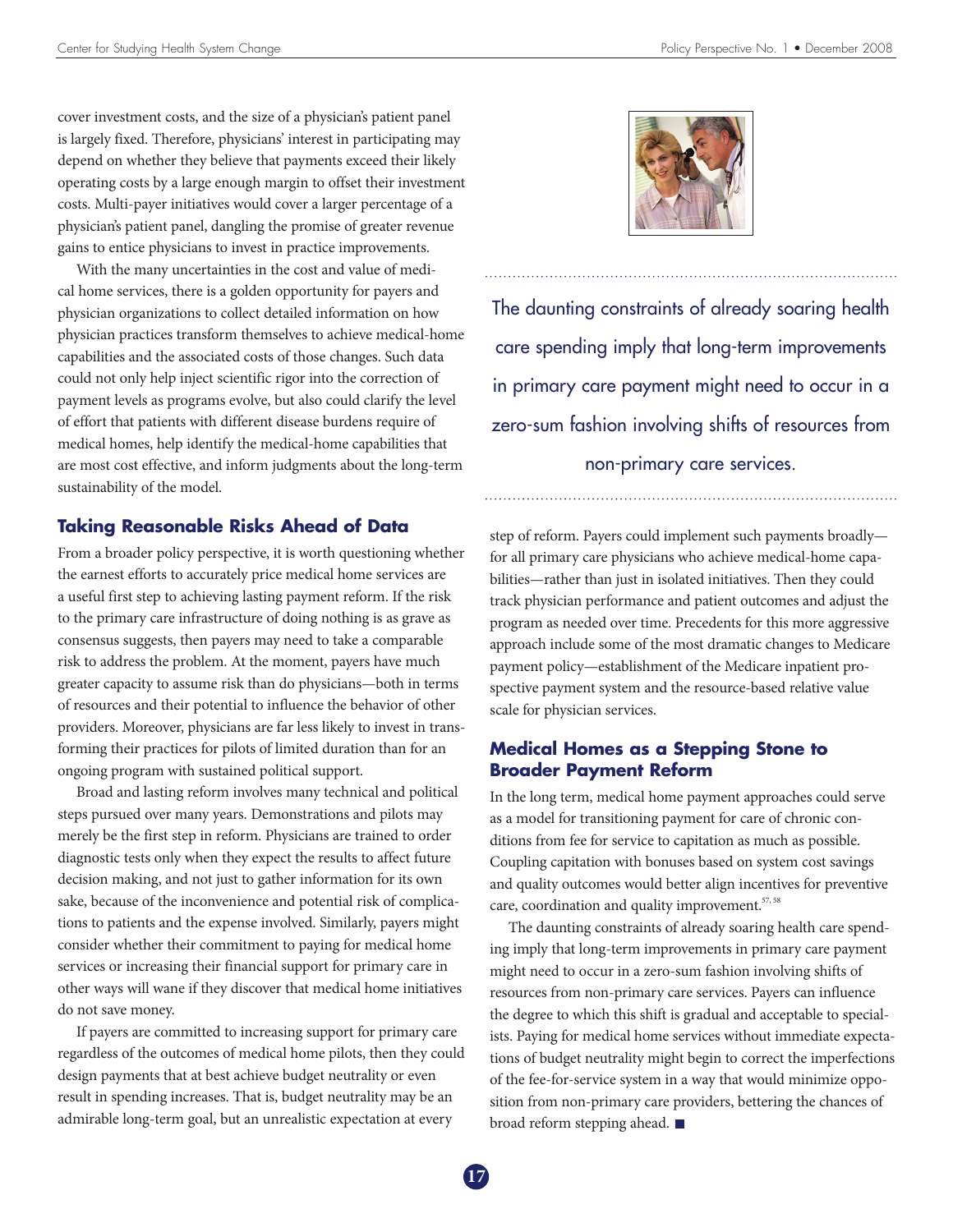cover investment costs, and the size of a physician's patient panel is largely fixed. Therefore, physicians' interest in participating may depend on whether they believe that payments exceed their likely operating costs by a large enough margin to offset their investment costs. Multi-payer initiatives would cover a larger percentage of a physician's patient panel, dangling the promise of greater revenue gains to entice physicians to invest in practice improvements.

With the many uncertainties in the cost and value of medical home services, there is a golden opportunity for payers and physician organizations to collect detailed information on how physician practices transform themselves to achieve medical-home capabilities and the associated costs of those changes. Such data could not only help inject scientific rigor into the correction of payment levels as programs evolve, but also could clarify the level of effort that patients with different disease burdens require of medical homes, help identify the medical-home capabilities that are most cost effective, and inform judgments about the long-term sustainability of the model.

#### **Taking Reasonable Risks Ahead of Data**

From a broader policy perspective, it is worth questioning whether the earnest efforts to accurately price medical home services are a useful first step to achieving lasting payment reform. If the risk to the primary care infrastructure of doing nothing is as grave as consensus suggests, then payers may need to take a comparable risk to address the problem. At the moment, payers have much greater capacity to assume risk than do physicians—both in terms of resources and their potential to influence the behavior of other providers. Moreover, physicians are far less likely to invest in transforming their practices for pilots of limited duration than for an ongoing program with sustained political support.

Broad and lasting reform involves many technical and political steps pursued over many years. Demonstrations and pilots may merely be the first step in reform. Physicians are trained to order diagnostic tests only when they expect the results to affect future decision making, and not just to gather information for its own sake, because of the inconvenience and potential risk of complications to patients and the expense involved. Similarly, payers might consider whether their commitment to paying for medical home services or increasing their financial support for primary care in other ways will wane if they discover that medical home initiatives do not save money.

If payers are committed to increasing support for primary care regardless of the outcomes of medical home pilots, then they could design payments that at best achieve budget neutrality or even result in spending increases. That is, budget neutrality may be an admirable long-term goal, but an unrealistic expectation at every



The daunting constraints of already soaring health care spending imply that long-term improvements in primary care payment might need to occur in a zero-sum fashion involving shifts of resources from non-primary care services.

step of reform. Payers could implement such payments broadly for all primary care physicians who achieve medical-home capabilities—rather than just in isolated initiatives. Then they could track physician performance and patient outcomes and adjust the program as needed over time. Precedents for this more aggressive approach include some of the most dramatic changes to Medicare payment policy—establishment of the Medicare inpatient prospective payment system and the resource-based relative value scale for physician services.

## **Medical Homes as a Stepping Stone to Broader Payment Reform**

In the long term, medical home payment approaches could serve as a model for transitioning payment for care of chronic conditions from fee for service to capitation as much as possible. Coupling capitation with bonuses based on system cost savings and quality outcomes would better align incentives for preventive care, coordination and quality improvement.<sup>57, 58</sup>

The daunting constraints of already soaring health care spending imply that long-term improvements in primary care payment might need to occur in a zero-sum fashion involving shifts of resources from non-primary care services. Payers can influence the degree to which this shift is gradual and acceptable to specialists. Paying for medical home services without immediate expectations of budget neutrality might begin to correct the imperfections of the fee-for-service system in a way that would minimize opposition from non-primary care providers, bettering the chances of broad reform stepping ahead.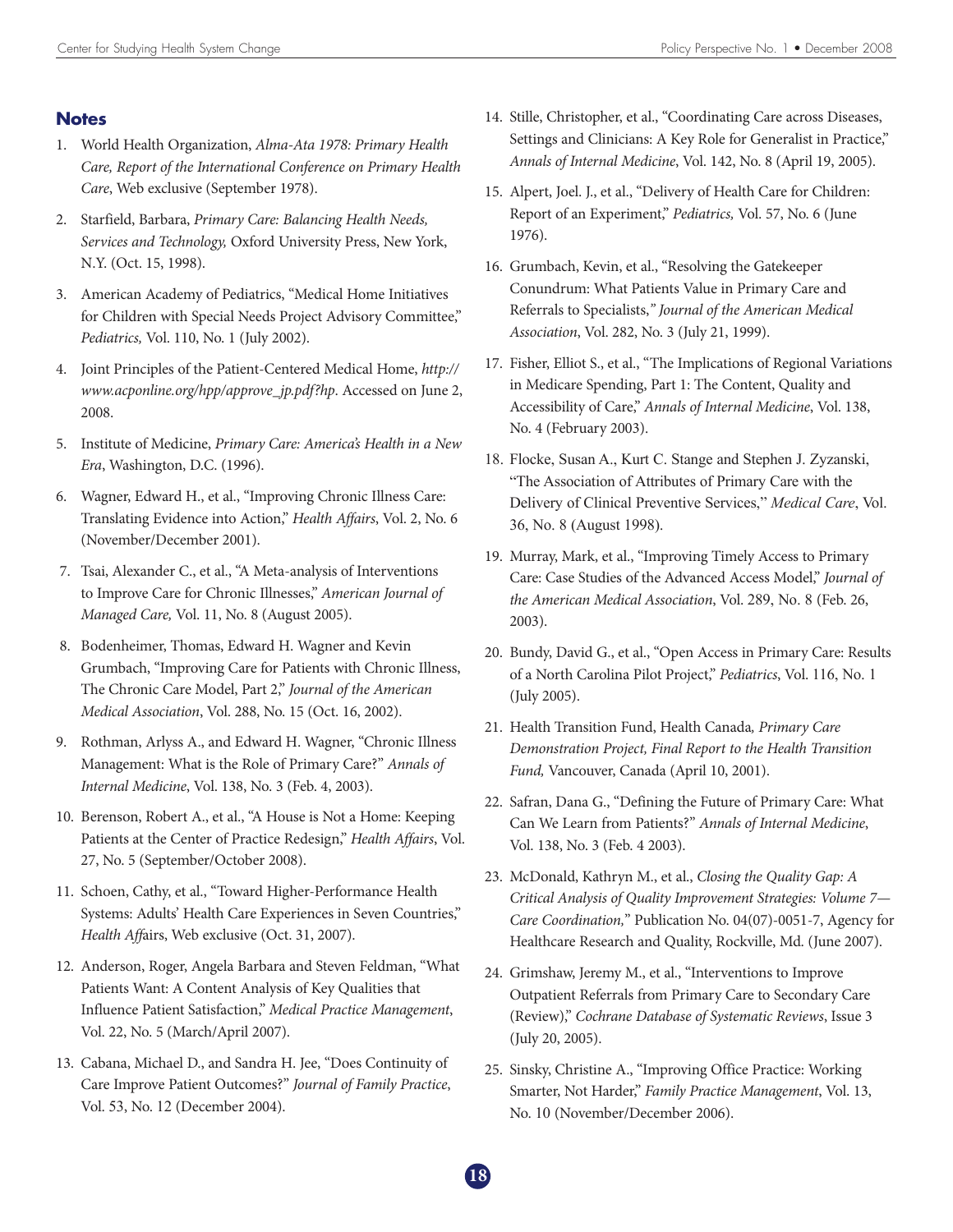## **Notes**

- 1. World Health Organization, *Alma-Ata 1978: Primary Health Care, Report of the International Conference on Primary Health Care*, Web exclusive (September 1978).
- 2. Starfield, Barbara, *Primary Care: Balancing Health Needs, Services and Technology,* Oxford University Press, New York, N.Y. (Oct. 15, 1998).
- 3. American Academy of Pediatrics, "Medical Home Initiatives for Children with Special Needs Project Advisory Committee," *Pediatrics,* Vol. 110, No. 1 (July 2002).
- 4. Joint Principles of the Patient-Centered Medical Home, *http:// www.acponline.org/hpp/approve\_jp.pdf?hp*. Accessed on June 2, 2008.
- 5. Institute of Medicine, *Primary Care: America's Health in a New Era*, Washington, D.C. (1996).
- 6. Wagner, Edward H., et al., "Improving Chronic Illness Care: Translating Evidence into Action," *Health Affairs*, Vol. 2, No. 6 (November/December 2001).
- 7. Tsai, Alexander C., et al., "A Meta-analysis of Interventions to Improve Care for Chronic Illnesses," *American Journal of Managed Care,* Vol. 11, No. 8 (August 2005).
- 8. Bodenheimer, Thomas, Edward H. Wagner and Kevin Grumbach, "Improving Care for Patients with Chronic Illness, The Chronic Care Model, Part 2," *Journal of the American Medical Association*, Vol. 288, No. 15 (Oct. 16, 2002).
- 9. Rothman, Arlyss A., and Edward H. Wagner, "Chronic Illness Management: What is the Role of Primary Care?" *Annals of Internal Medicine*, Vol. 138, No. 3 (Feb. 4, 2003).
- 10. Berenson, Robert A., et al., "A House is Not a Home: Keeping Patients at the Center of Practice Redesign," *Health Affairs*, Vol. 27, No. 5 (September/October 2008).
- 11. Schoen, Cathy, et al., "Toward Higher-Performance Health Systems: Adults' Health Care Experiences in Seven Countries," *Health Aff*airs, Web exclusive (Oct. 31, 2007).
- 12. Anderson, Roger, Angela Barbara and Steven Feldman, "What Patients Want: A Content Analysis of Key Qualities that Influence Patient Satisfaction," *Medical Practice Management*, Vol. 22, No. 5 (March/April 2007).
- 13. Cabana, Michael D., and Sandra H. Jee, "Does Continuity of Care Improve Patient Outcomes?" *Journal of Family Practice*, Vol. 53, No. 12 (December 2004).
- 14. Stille, Christopher, et al., "Coordinating Care across Diseases, Settings and Clinicians: A Key Role for Generalist in Practice," *Annals of Internal Medicine*, Vol. 142, No. 8 (April 19, 2005).
- 15. Alpert, Joel. J., et al., "Delivery of Health Care for Children: Report of an Experiment," *Pediatrics,* Vol. 57, No. 6 (June 1976).
- 16. Grumbach, Kevin, et al., "Resolving the Gatekeeper Conundrum: What Patients Value in Primary Care and Referrals to Specialists,*" Journal of the American Medical Association*, Vol. 282, No. 3 (July 21, 1999).
- 17. Fisher, Elliot S., et al., "The Implications of Regional Variations in Medicare Spending, Part 1: The Content, Quality and Accessibility of Care," *Annals of Internal Medicine*, Vol. 138, No. 4 (February 2003).
- 18. Flocke, Susan A., Kurt C. Stange and Stephen J. Zyzanski, "The Association of Attributes of Primary Care with the Delivery of Clinical Preventive Services," *Medical Care*, Vol. 36, No. 8 (August 1998).
- 19. Murray, Mark, et al., "Improving Timely Access to Primary Care: Case Studies of the Advanced Access Model," *Journal of the American Medical Association*, Vol. 289, No. 8 (Feb. 26, 2003).
- 20. Bundy, David G., et al., "Open Access in Primary Care: Results of a North Carolina Pilot Project," *Pediatrics*, Vol. 116, No. 1 (July 2005).
- 21. Health Transition Fund, Health Canada*, Primary Care Demonstration Project, Final Report to the Health Transition Fund,* Vancouver, Canada (April 10, 2001).
- 22. Safran, Dana G., "Defining the Future of Primary Care: What Can We Learn from Patients?" *Annals of Internal Medicine*, Vol. 138, No. 3 (Feb. 4 2003).
- 23. McDonald, Kathryn M., et al., *Closing the Quality Gap: A Critical Analysis of Quality Improvement Strategies: Volume 7— Care Coordination,*" Publication No. 04(07)-0051-7, Agency for Healthcare Research and Quality, Rockville, Md. (June 2007).
- 24. Grimshaw, Jeremy M., et al., "Interventions to Improve Outpatient Referrals from Primary Care to Secondary Care (Review)," *Cochrane Database of Systematic Reviews*, Issue 3 (July 20, 2005).
- 25. Sinsky, Christine A., "Improving Office Practice: Working Smarter, Not Harder," *Family Practice Management*, Vol. 13, No. 10 (November/December 2006).

**18**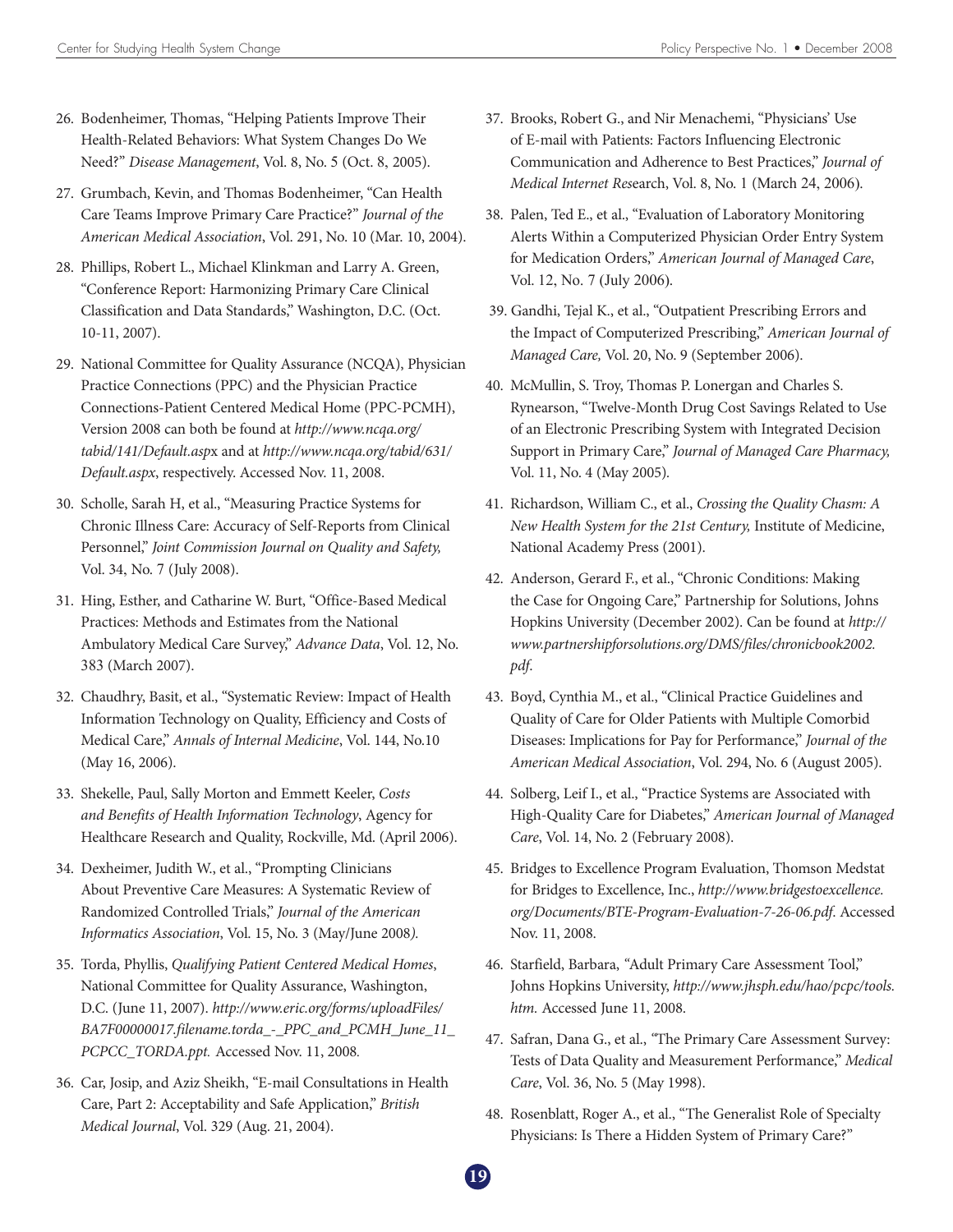- 26. Bodenheimer, Thomas, "Helping Patients Improve Their Health-Related Behaviors: What System Changes Do We Need?" *Disease Management*, Vol. 8, No. 5 (Oct. 8, 2005).
- 27. Grumbach, Kevin, and Thomas Bodenheimer, "Can Health Care Teams Improve Primary Care Practice?" *Journal of the American Medical Association*, Vol. 291, No. 10 (Mar. 10, 2004).
- 28. Phillips, Robert L., Michael Klinkman and Larry A. Green, "Conference Report: Harmonizing Primary Care Clinical Classification and Data Standards," Washington, D.C. (Oct. 10-11, 2007).
- 29. National Committee for Quality Assurance (NCQA), Physician Practice Connections (PPC) and the Physician Practice Connections-Patient Centered Medical Home (PPC-PCMH), Version 2008 can both be found at *http://www.ncqa.org/ tabid/141/Default.asp*x and at *http://www.ncqa.org/tabid/631/ Default.aspx*, respectively. Accessed Nov. 11, 2008.
- 30. Scholle, Sarah H, et al., "Measuring Practice Systems for Chronic Illness Care: Accuracy of Self-Reports from Clinical Personnel," *Joint Commission Journal on Quality and Safety,* Vol. 34, No. 7 (July 2008).
- 31. Hing, Esther, and Catharine W. Burt, "Office-Based Medical Practices: Methods and Estimates from the National Ambulatory Medical Care Survey," *Advance Data*, Vol. 12, No. 383 (March 2007).
- 32. Chaudhry, Basit, et al., "Systematic Review: Impact of Health Information Technology on Quality, Efficiency and Costs of Medical Care," *Annals of Internal Medicine*, Vol. 144, No.10 (May 16, 2006).
- 33. Shekelle, Paul, Sally Morton and Emmett Keeler, *Costs and Benefits of Health Information Technology*, Agency for Healthcare Research and Quality, Rockville, Md. (April 2006).
- 34. Dexheimer, Judith W., et al., "Prompting Clinicians About Preventive Care Measures: A Systematic Review of Randomized Controlled Trials," *Journal of the American Informatics Association*, Vol. 15, No. 3 (May/June 2008*).*
- 35. Torda, Phyllis, *Qualifying Patient Centered Medical Homes*, National Committee for Quality Assurance, Washington, D.C. (June 11, 2007). *http://www.eric.org/forms/uploadFiles/ BA7F00000017.filename.torda\_-\_PPC\_and\_PCMH\_June\_11\_ PCPCC\_TORDA.ppt.* Accessed Nov. 11, 2008*.*
- 36. Car, Josip, and Aziz Sheikh, "E-mail Consultations in Health Care, Part 2: Acceptability and Safe Application," *British Medical Journal*, Vol. 329 (Aug. 21, 2004).
- 37. Brooks, Robert G., and Nir Menachemi, "Physicians' Use of E-mail with Patients: Factors Influencing Electronic Communication and Adherence to Best Practices," *Journal of Medical Internet Res*earch, Vol. 8, No. 1 (March 24, 2006).
- 38. Palen, Ted E., et al., "Evaluation of Laboratory Monitoring Alerts Within a Computerized Physician Order Entry System for Medication Orders," *American Journal of Managed Care*, Vol. 12, No. 7 (July 2006).
- 39. Gandhi, Tejal K., et al., "Outpatient Prescribing Errors and the Impact of Computerized Prescribing," *American Journal of Managed Care,* Vol. 20, No. 9 (September 2006).
- 40. McMullin, S. Troy, Thomas P. Lonergan and Charles S. Rynearson, "Twelve-Month Drug Cost Savings Related to Use of an Electronic Prescribing System with Integrated Decision Support in Primary Care," *Journal of Managed Care Pharmacy,*  Vol. 11, No. 4 (May 2005)*.*
- 41. Richardson, William C., et al., *Crossing the Quality Chasm: A New Health System for the 21st Century,* Institute of Medicine, National Academy Press (2001).
- 42. Anderson, Gerard F., et al., "Chronic Conditions: Making the Case for Ongoing Care," Partnership for Solutions, Johns Hopkins University (December 2002). Can be found at *http:// www.partnershipforsolutions.org/DMS/files/chronicbook2002. pdf*.
- 43. Boyd, Cynthia M., et al., "Clinical Practice Guidelines and Quality of Care for Older Patients with Multiple Comorbid Diseases: Implications for Pay for Performance," *Journal of the American Medical Association*, Vol. 294, No. 6 (August 2005).
- 44. Solberg, Leif I., et al., "Practice Systems are Associated with High-Quality Care for Diabetes," *American Journal of Managed Care*, Vol. 14, No. 2 (February 2008).
- 45. Bridges to Excellence Program Evaluation, Thomson Medstat for Bridges to Excellence, Inc., *http://www.bridgestoexcellence. org/Documents/BTE-Program-Evaluation-7-26-06.pdf*. Accessed Nov. 11, 2008.
- 46. Starfield, Barbara, *"*Adult Primary Care Assessment Tool," Johns Hopkins University, *http://www.jhsph.edu/hao/pcpc/tools. htm.* Accessed June 11, 2008.
- 47. Safran, Dana G., et al., *"*The Primary Care Assessment Survey: Tests of Data Quality and Measurement Performance," *Medical Care*, Vol. 36, No. 5 (May 1998).
- 48. Rosenblatt, Roger A., et al., "The Generalist Role of Specialty Physicians: Is There a Hidden System of Primary Care?"